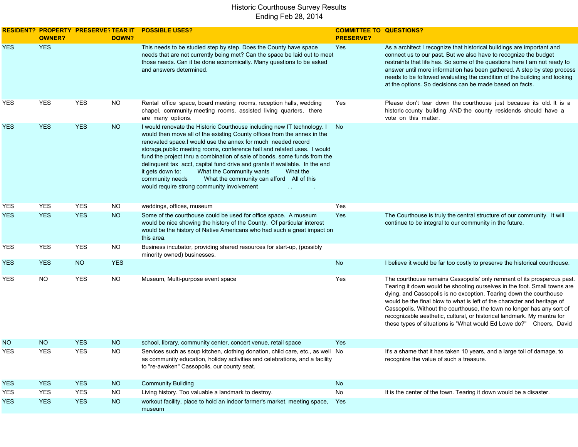|            | <b>OWNER?</b> | <b>RESIDENT? PROPERTY PRESERVE? TEAR IT</b> | DOWN?      | <b>POSSIBLE USES?</b>                                                                                                                                                                                                                                                                                                                                                                                                                                                                                                                                                                                                                 | <b>COMMITTEE TO QUESTIONS?</b><br><b>PRESERVE?</b> |                                                                                                                                                                                                                                                                                                                                                                                                                                                                                                                                   |
|------------|---------------|---------------------------------------------|------------|---------------------------------------------------------------------------------------------------------------------------------------------------------------------------------------------------------------------------------------------------------------------------------------------------------------------------------------------------------------------------------------------------------------------------------------------------------------------------------------------------------------------------------------------------------------------------------------------------------------------------------------|----------------------------------------------------|-----------------------------------------------------------------------------------------------------------------------------------------------------------------------------------------------------------------------------------------------------------------------------------------------------------------------------------------------------------------------------------------------------------------------------------------------------------------------------------------------------------------------------------|
| <b>YES</b> | <b>YES</b>    |                                             |            | This needs to be studied step by step. Does the County have space<br>needs that are not currently being met? Can the space be laid out to meet<br>those needs. Can it be done economically. Many questions to be asked<br>and answers determined.                                                                                                                                                                                                                                                                                                                                                                                     | Yes                                                | As a architect I recognize that historical buildings are important and<br>connect us to our past. But we also have to recognize the budget<br>restraints that life has. So some of the questions here I am not ready to<br>answer until more information has been gathered. A step by step process<br>needs to be followed evaluating the condition of the building and looking<br>at the options. So decisions can be made based on facts.                                                                                       |
| YES        | YES           | <b>YES</b>                                  | <b>NO</b>  | Rental office space, board meeting rooms, reception halls, wedding<br>chapel, community meeting rooms, assisted living quarters, there<br>are many options.                                                                                                                                                                                                                                                                                                                                                                                                                                                                           | Yes                                                | Please don't tear down the courthouse just because its old. It is a<br>historic county building AND the county residends should have a<br>vote on this matter.                                                                                                                                                                                                                                                                                                                                                                    |
| YES        | <b>YES</b>    | <b>YES</b>                                  | <b>NO</b>  | I would renovate the Historic Courthouse including new IT technology. I<br>would then move all of the existing County offices from the annex in the<br>renovated space.I would use the annex for much needed record<br>storage, public meeting rooms, conference hall and related uses. I would<br>fund the project thru a combination of sale of bonds, some funds from the<br>delinquent tax acct, capital fund drive and grants if available. In the end<br>it gets down to:<br>What the Community wants<br>What the<br>community needs<br>What the community can afford All of this<br>would require strong community involvement | No.                                                |                                                                                                                                                                                                                                                                                                                                                                                                                                                                                                                                   |
| YES        | <b>YES</b>    | <b>YES</b>                                  | <b>NO</b>  | weddings, offices, museum                                                                                                                                                                                                                                                                                                                                                                                                                                                                                                                                                                                                             | Yes                                                |                                                                                                                                                                                                                                                                                                                                                                                                                                                                                                                                   |
| YES.       | <b>YES</b>    | <b>YES</b>                                  | <b>NO</b>  | Some of the courthouse could be used for office space. A museum<br>would be nice showing the history of the County. Of particular interest<br>would be the history of Native Americans who had such a great impact on<br>this area.                                                                                                                                                                                                                                                                                                                                                                                                   | Yes                                                | The Courthouse is truly the central structure of our community. It will<br>continue to be integral to our community in the future.                                                                                                                                                                                                                                                                                                                                                                                                |
| YES        | YES           | <b>YES</b>                                  | <b>NO</b>  | Business incubator, providing shared resources for start-up, (possibly<br>minority owned) businesses.                                                                                                                                                                                                                                                                                                                                                                                                                                                                                                                                 |                                                    |                                                                                                                                                                                                                                                                                                                                                                                                                                                                                                                                   |
| <b>YES</b> | <b>YES</b>    | <b>NO</b>                                   | <b>YES</b> |                                                                                                                                                                                                                                                                                                                                                                                                                                                                                                                                                                                                                                       | No                                                 | I believe it would be far too costly to preserve the historical courthouse.                                                                                                                                                                                                                                                                                                                                                                                                                                                       |
| YES        | <b>NO</b>     | <b>YES</b>                                  | <b>NO</b>  | Museum, Multi-purpose event space                                                                                                                                                                                                                                                                                                                                                                                                                                                                                                                                                                                                     | Yes                                                | The courthouse remains Cassopolis' only remnant of its prosperous past.<br>Tearing it down would be shooting ourselves in the foot. Small towns are<br>dying, and Cassopolis is no exception. Tearing down the courthouse<br>would be the final blow to what is left of the character and heritage of<br>Cassopolis. Without the courthouse, the town no longer has any sort of<br>recognizable aesthetic, cultural, or historical landmark. My mantra for<br>these types of situations is "What would Ed Lowe do?" Cheers, David |
| NO.        | <b>NO</b>     | <b>YES</b>                                  | <b>NO</b>  | school, library, community center, concert venue, retail space                                                                                                                                                                                                                                                                                                                                                                                                                                                                                                                                                                        | Yes                                                |                                                                                                                                                                                                                                                                                                                                                                                                                                                                                                                                   |
| YES        | <b>YES</b>    | <b>YES</b>                                  | NO.        | Services such as soup kitchen, clothing donation, child care, etc., as well No<br>as community education, holiday activities and celebrations, and a facility<br>to "re-awaken" Cassopolis, our county seat.                                                                                                                                                                                                                                                                                                                                                                                                                          |                                                    | It's a shame that it has taken 10 years, and a large toll of damage, to<br>recognize the value of such a treasure.                                                                                                                                                                                                                                                                                                                                                                                                                |
| <b>YES</b> | <b>YES</b>    | <b>YES</b>                                  | <b>NO</b>  | <b>Community Building</b>                                                                                                                                                                                                                                                                                                                                                                                                                                                                                                                                                                                                             | No                                                 |                                                                                                                                                                                                                                                                                                                                                                                                                                                                                                                                   |
| YES        | YES           | <b>YES</b>                                  | <b>NO</b>  | Living history. Too valuable a landmark to destroy.                                                                                                                                                                                                                                                                                                                                                                                                                                                                                                                                                                                   | No                                                 | It is the center of the town. Tearing it down would be a disaster.                                                                                                                                                                                                                                                                                                                                                                                                                                                                |
| YES.       | <b>YES</b>    | <b>YES</b>                                  | NO         | workout facility, place to hold an indoor farmer's market, meeting space,<br>museum                                                                                                                                                                                                                                                                                                                                                                                                                                                                                                                                                   | Yes                                                |                                                                                                                                                                                                                                                                                                                                                                                                                                                                                                                                   |
|            |               |                                             |            |                                                                                                                                                                                                                                                                                                                                                                                                                                                                                                                                                                                                                                       |                                                    |                                                                                                                                                                                                                                                                                                                                                                                                                                                                                                                                   |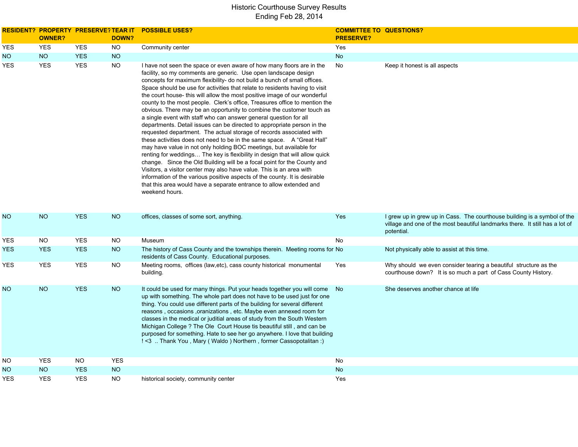|            | <b>OWNER?</b> | RESIDENT? PROPERTY PRESERVE?TEAR IT | <b>DOWN?</b> | <b>POSSIBLE USES?</b>                                                                                                                                                                                                                                                                                                                                                                                                                                                                                                                                                                                                                                                                                                                                                                                                                                                                                                                                                                                                                                                                                                                                                                                                                                                                                                   | <b>COMMITTEE TO QUESTIONS?</b><br><b>PRESERVE?</b> |                                                                                                                                                                        |
|------------|---------------|-------------------------------------|--------------|-------------------------------------------------------------------------------------------------------------------------------------------------------------------------------------------------------------------------------------------------------------------------------------------------------------------------------------------------------------------------------------------------------------------------------------------------------------------------------------------------------------------------------------------------------------------------------------------------------------------------------------------------------------------------------------------------------------------------------------------------------------------------------------------------------------------------------------------------------------------------------------------------------------------------------------------------------------------------------------------------------------------------------------------------------------------------------------------------------------------------------------------------------------------------------------------------------------------------------------------------------------------------------------------------------------------------|----------------------------------------------------|------------------------------------------------------------------------------------------------------------------------------------------------------------------------|
| YES        | <b>YES</b>    | <b>YES</b>                          | <b>NO</b>    | Community center                                                                                                                                                                                                                                                                                                                                                                                                                                                                                                                                                                                                                                                                                                                                                                                                                                                                                                                                                                                                                                                                                                                                                                                                                                                                                                        | Yes                                                |                                                                                                                                                                        |
| NO.        | <b>NO</b>     | <b>YES</b>                          | <b>NO</b>    |                                                                                                                                                                                                                                                                                                                                                                                                                                                                                                                                                                                                                                                                                                                                                                                                                                                                                                                                                                                                                                                                                                                                                                                                                                                                                                                         | <b>No</b>                                          |                                                                                                                                                                        |
| <b>YES</b> | <b>YES</b>    | <b>YES</b>                          | <b>NO</b>    | I have not seen the space or even aware of how many floors are in the<br>facility, so my comments are generic. Use open landscape design<br>concepts for maximum flexibility- do not build a bunch of small offices.<br>Space should be use for activities that relate to residents having to visit<br>the court house- this will allow the most positive image of our wonderful<br>county to the most people. Clerk's office, Treasures office to mention the<br>obvious. There may be an opportunity to combine the customer touch as<br>a single event with staff who can answer general question for all<br>departments. Detail issues can be directed to appropriate person in the<br>requested department. The actual storage of records associated with<br>these activities does not need to be in the same space. A "Great Hall"<br>may have value in not only holding BOC meetings, but available for<br>renting for weddings The key is flexibility in design that will allow quick<br>change. Since the Old Building will be a focal point for the County and<br>Visitors, a visitor center may also have value. This is an area with<br>information of the various positive aspects of the county. It is desirable<br>that this area would have a separate entrance to allow extended and<br>weekend hours. | No                                                 | Keep it honest is all aspects                                                                                                                                          |
| <b>NO</b>  | <b>NO</b>     | <b>YES</b>                          | <b>NO</b>    | offices, classes of some sort, anything.                                                                                                                                                                                                                                                                                                                                                                                                                                                                                                                                                                                                                                                                                                                                                                                                                                                                                                                                                                                                                                                                                                                                                                                                                                                                                | <b>Yes</b>                                         | I grew up in grew up in Cass. The courthouse building is a symbol of the<br>village and one of the most beautiful landmarks there. It still has a lot of<br>potential. |
| <b>YES</b> | <b>NO</b>     | <b>YES</b>                          | <b>NO</b>    | Museum                                                                                                                                                                                                                                                                                                                                                                                                                                                                                                                                                                                                                                                                                                                                                                                                                                                                                                                                                                                                                                                                                                                                                                                                                                                                                                                  | No                                                 |                                                                                                                                                                        |
| <b>YES</b> | <b>YES</b>    | <b>YES</b>                          | <b>NO</b>    | The history of Cass County and the townships therein. Meeting rooms for No<br>residents of Cass County. Educational purposes.                                                                                                                                                                                                                                                                                                                                                                                                                                                                                                                                                                                                                                                                                                                                                                                                                                                                                                                                                                                                                                                                                                                                                                                           |                                                    | Not physically able to assist at this time.                                                                                                                            |
| <b>YES</b> | <b>YES</b>    | <b>YES</b>                          | <b>NO</b>    | Meeting rooms, offices (law, etc), cass county historical monumental<br>building.                                                                                                                                                                                                                                                                                                                                                                                                                                                                                                                                                                                                                                                                                                                                                                                                                                                                                                                                                                                                                                                                                                                                                                                                                                       | Yes                                                | Why should we even consider tearing a beautiful structure as the<br>courthouse down? It is so much a part of Cass County History.                                      |
| <b>NO</b>  | <b>NO</b>     | <b>YES</b>                          | <b>NO</b>    | It could be used for many things. Put your heads together you will come No<br>up with something. The whole part does not have to be used just for one<br>thing. You could use different parts of the building for several different<br>reasons, occasions, oranizations, etc. Maybe even annexed room for<br>classes in the medical or juditial areas of study from the South Western<br>Michigan College ? The Ole Court House tis beautiful still, and can be<br>purposed for something. Hate to see her go anywhere. I love that building<br>!<3  Thank You, Mary (Waldo) Northern, former Cassopotalitan:)                                                                                                                                                                                                                                                                                                                                                                                                                                                                                                                                                                                                                                                                                                          |                                                    | She deserves another chance at life                                                                                                                                    |
| <b>NO</b>  | <b>YES</b>    | NO.                                 | <b>YES</b>   |                                                                                                                                                                                                                                                                                                                                                                                                                                                                                                                                                                                                                                                                                                                                                                                                                                                                                                                                                                                                                                                                                                                                                                                                                                                                                                                         | No                                                 |                                                                                                                                                                        |
| <b>NO</b>  | <b>NO</b>     | <b>YES</b>                          | <b>NO</b>    |                                                                                                                                                                                                                                                                                                                                                                                                                                                                                                                                                                                                                                                                                                                                                                                                                                                                                                                                                                                                                                                                                                                                                                                                                                                                                                                         | <b>No</b>                                          |                                                                                                                                                                        |
| YES        | <b>YES</b>    | <b>YES</b>                          | <b>NO</b>    | historical society, community center                                                                                                                                                                                                                                                                                                                                                                                                                                                                                                                                                                                                                                                                                                                                                                                                                                                                                                                                                                                                                                                                                                                                                                                                                                                                                    | Yes                                                |                                                                                                                                                                        |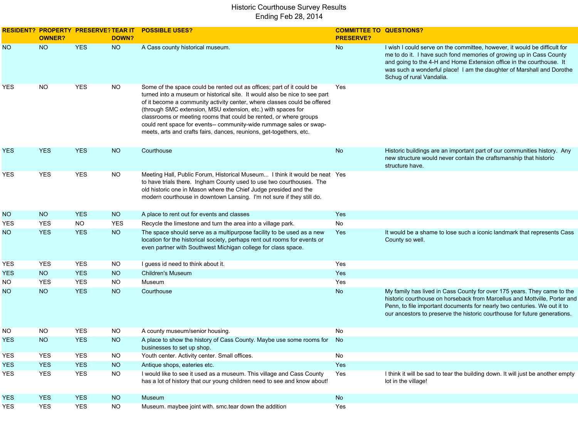|            | <b>OWNER?</b> | <b>RESIDENT? PROPERTY PRESERVE? TEAR IT</b> | DOWN?      | <b>POSSIBLE USES?</b>                                                                                                                                                                                                                                                                                                                                                                                                                                                                                              | <b>COMMITTEE TO QUESTIONS?</b><br><b>PRESERVE?</b> |                                                                                                                                                                                                                                                                                                                               |
|------------|---------------|---------------------------------------------|------------|--------------------------------------------------------------------------------------------------------------------------------------------------------------------------------------------------------------------------------------------------------------------------------------------------------------------------------------------------------------------------------------------------------------------------------------------------------------------------------------------------------------------|----------------------------------------------------|-------------------------------------------------------------------------------------------------------------------------------------------------------------------------------------------------------------------------------------------------------------------------------------------------------------------------------|
| <b>NO</b>  | <b>NO</b>     | <b>YES</b>                                  | <b>NO</b>  | A Cass county historical museum.                                                                                                                                                                                                                                                                                                                                                                                                                                                                                   | No                                                 | I wish I could serve on the committee, however, it would be difficult for<br>me to do it. I have such fond memories of growing up in Cass County<br>and going to the 4-H and Home Extension office in the courthouse. It<br>was such a wonderful place! I am the daughter of Marshall and Dorothe<br>Schug of rural Vandalia. |
| YES        | NO.           | <b>YES</b>                                  | <b>NO</b>  | Some of the space could be rented out as offices; part of it could be<br>turned into a museum or historical site. It would also be nice to see part<br>of it become a community activity center, where classes could be offered<br>(through SMC extension, MSU extension, etc.) with spaces for<br>classrooms or meeting rooms that could be rented, or where groups<br>could rent space for events-- community-wide rummage sales or swap-<br>meets, arts and crafts fairs, dances, reunions, get-togethers, etc. | Yes                                                |                                                                                                                                                                                                                                                                                                                               |
| YES        | <b>YES</b>    | <b>YES</b>                                  | <b>NO</b>  | Courthouse                                                                                                                                                                                                                                                                                                                                                                                                                                                                                                         | No                                                 | Historic buildings are an important part of our communities history. Any<br>new structure would never contain the craftsmanship that historic<br>structure have.                                                                                                                                                              |
| YES        | YES           | <b>YES</b>                                  | <b>NO</b>  | Meeting Hall, Public Forum, Historical Museum I think it would be neat Yes<br>to have trials there. Ingham County used to use two courthouses. The<br>old historic one in Mason where the Chief Judge presided and the<br>modern courthouse in downtown Lansing. I'm not sure if they still do.                                                                                                                                                                                                                    |                                                    |                                                                                                                                                                                                                                                                                                                               |
| NO.        | NO            | <b>YES</b>                                  | <b>NO</b>  | A place to rent out for events and classes                                                                                                                                                                                                                                                                                                                                                                                                                                                                         | Yes                                                |                                                                                                                                                                                                                                                                                                                               |
| YES        | <b>YES</b>    | <b>NO</b>                                   | <b>YES</b> | Recycle the limestone and turn the area into a village park.                                                                                                                                                                                                                                                                                                                                                                                                                                                       | No                                                 |                                                                                                                                                                                                                                                                                                                               |
| NO.        | <b>YES</b>    | <b>YES</b>                                  | NO         | The space should serve as a multipurpose facility to be used as a new<br>location for the historical society, perhaps rent out rooms for events or<br>even partner with Southwest Michigan college for class space.                                                                                                                                                                                                                                                                                                | Yes                                                | It would be a shame to lose such a iconic landmark that represents Cass<br>County so well.                                                                                                                                                                                                                                    |
| YES        | <b>YES</b>    | <b>YES</b>                                  | <b>NO</b>  | I guess id need to think about it.                                                                                                                                                                                                                                                                                                                                                                                                                                                                                 | Yes                                                |                                                                                                                                                                                                                                                                                                                               |
| <b>YES</b> | <b>NO</b>     | <b>YES</b>                                  | <b>NO</b>  | <b>Children's Museum</b>                                                                                                                                                                                                                                                                                                                                                                                                                                                                                           | Yes                                                |                                                                                                                                                                                                                                                                                                                               |
| NO.        | <b>YES</b>    | <b>YES</b>                                  | <b>NO</b>  | Museum                                                                                                                                                                                                                                                                                                                                                                                                                                                                                                             | Yes                                                |                                                                                                                                                                                                                                                                                                                               |
| NO.        | <b>NO</b>     | <b>YES</b>                                  | <b>NO</b>  | Courthouse                                                                                                                                                                                                                                                                                                                                                                                                                                                                                                         | No                                                 | My family has lived in Cass County for over 175 years. They came to the<br>historic courthouse on horseback from Marcellus and Mottville, Porter and<br>Penn, to file important documents for nearly two centuries. We out it to<br>our ancestors to preserve the historic courthouse for future generations.                 |
| NO.        | <b>NO</b>     | <b>YES</b>                                  | <b>NO</b>  | A county museum/senior housing.                                                                                                                                                                                                                                                                                                                                                                                                                                                                                    | No                                                 |                                                                                                                                                                                                                                                                                                                               |
| YES        | <b>NO</b>     | <b>YES</b>                                  | <b>NO</b>  | A place to show the history of Cass County. Maybe use some rooms for<br>businesses to set up shop.                                                                                                                                                                                                                                                                                                                                                                                                                 | No                                                 |                                                                                                                                                                                                                                                                                                                               |
| YES        | <b>YES</b>    | YES                                         | <b>NO</b>  | Youth center. Activity center. Small offices.                                                                                                                                                                                                                                                                                                                                                                                                                                                                      | No                                                 |                                                                                                                                                                                                                                                                                                                               |
| <b>YES</b> | <b>YES</b>    | <b>YES</b>                                  | <b>NO</b>  | Antique shops, eateries etc.                                                                                                                                                                                                                                                                                                                                                                                                                                                                                       | Yes                                                |                                                                                                                                                                                                                                                                                                                               |
| YES        | <b>YES</b>    | <b>YES</b>                                  | <b>NO</b>  | I would like to see it used as a museum. This village and Cass County<br>has a lot of history that our young children need to see and know about!                                                                                                                                                                                                                                                                                                                                                                  | Yes                                                | I think it will be sad to tear the building down. It will just be another empty<br>lot in the village!                                                                                                                                                                                                                        |
| <b>YES</b> | <b>YES</b>    | <b>YES</b>                                  | <b>NO</b>  | Museum                                                                                                                                                                                                                                                                                                                                                                                                                                                                                                             | No                                                 |                                                                                                                                                                                                                                                                                                                               |
| YES        | <b>YES</b>    | <b>YES</b>                                  | <b>NO</b>  | Museum. maybee joint with. smc.tear down the addition                                                                                                                                                                                                                                                                                                                                                                                                                                                              | Yes                                                |                                                                                                                                                                                                                                                                                                                               |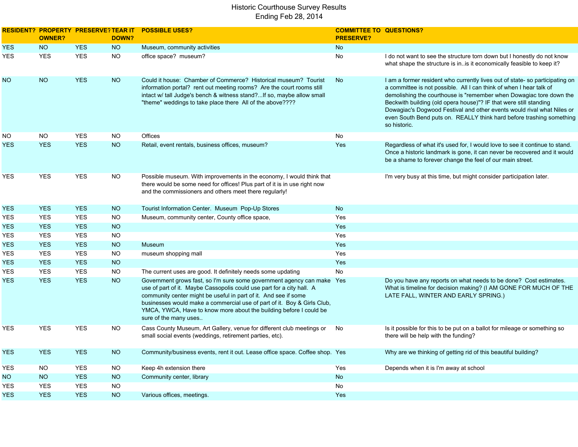|            | <b>RESIDENT? PROPERTY PRESERVE? TEAR IT</b><br><b>OWNER?</b> |            | DOWN?     | <b>POSSIBLE USES?</b>                                                                                                                                                                                                                                                                                                                                                                        | <b>COMMITTEE TO QUESTIONS?</b><br><b>PRESERVE?</b> |                                                                                                                                                                                                                                                                                                                                                                                                                                                                  |
|------------|--------------------------------------------------------------|------------|-----------|----------------------------------------------------------------------------------------------------------------------------------------------------------------------------------------------------------------------------------------------------------------------------------------------------------------------------------------------------------------------------------------------|----------------------------------------------------|------------------------------------------------------------------------------------------------------------------------------------------------------------------------------------------------------------------------------------------------------------------------------------------------------------------------------------------------------------------------------------------------------------------------------------------------------------------|
| <b>YES</b> | <b>NO</b>                                                    | <b>YES</b> | <b>NO</b> | Museum, community activities                                                                                                                                                                                                                                                                                                                                                                 | No                                                 |                                                                                                                                                                                                                                                                                                                                                                                                                                                                  |
| <b>YES</b> | <b>YES</b>                                                   | <b>YES</b> | <b>NO</b> | office space? museum?                                                                                                                                                                                                                                                                                                                                                                        | No                                                 | I do not want to see the structure torn down but I honestly do not know<br>what shape the structure is in. is it economically feasible to keep it?                                                                                                                                                                                                                                                                                                               |
| NO.        | <b>NO</b>                                                    | <b>YES</b> | <b>NO</b> | Could it house: Chamber of Commerce? Historical museum? Tourist<br>information portal? rent out meeting rooms? Are the court rooms still<br>intact w/ tall Judge's bench & witness stand? If so, maybe allow small<br>"theme" weddings to take place there All of the above????                                                                                                              | <b>No</b>                                          | I am a former resident who currently lives out of state-so participating on<br>a committee is not possible. All I can think of when I hear talk of<br>demolishing the courthouse is "remember when Dowagiac tore down the<br>Beckwith building (old opera house)"? IF that were still standing<br>Dowagiac's Dogwood Festival and other events would rival what Niles or<br>even South Bend puts on. REALLY think hard before trashing something<br>so historic. |
| NO.        | NO.                                                          | <b>YES</b> | NO.       | Offices                                                                                                                                                                                                                                                                                                                                                                                      | No                                                 |                                                                                                                                                                                                                                                                                                                                                                                                                                                                  |
| <b>YES</b> | <b>YES</b>                                                   | <b>YES</b> | <b>NO</b> | Retail, event rentals, business offices, museum?                                                                                                                                                                                                                                                                                                                                             | Yes                                                | Regardless of what it's used for, I would love to see it continue to stand.<br>Once a historic landmark is gone, it can never be recovered and it would<br>be a shame to forever change the feel of our main street.                                                                                                                                                                                                                                             |
| YES        | <b>YES</b>                                                   | <b>YES</b> | NO        | Possible museum. With improvements in the economy, I would think that<br>there would be some need for offices! Plus part of it is in use right now<br>and the commissioners and others meet there regularly!                                                                                                                                                                                 |                                                    | I'm very busy at this time, but might consider participation later.                                                                                                                                                                                                                                                                                                                                                                                              |
| YES        | <b>YES</b>                                                   | <b>YES</b> | <b>NO</b> | Tourist Information Center. Museum Pop-Up Stores                                                                                                                                                                                                                                                                                                                                             | No                                                 |                                                                                                                                                                                                                                                                                                                                                                                                                                                                  |
| YES        | <b>YES</b>                                                   | <b>YES</b> | NO        | Museum, community center, County office space,                                                                                                                                                                                                                                                                                                                                               | Yes                                                |                                                                                                                                                                                                                                                                                                                                                                                                                                                                  |
| YES        | <b>YES</b>                                                   | <b>YES</b> | <b>NO</b> |                                                                                                                                                                                                                                                                                                                                                                                              | Yes                                                |                                                                                                                                                                                                                                                                                                                                                                                                                                                                  |
| <b>YES</b> | <b>YES</b>                                                   | <b>YES</b> | <b>NO</b> |                                                                                                                                                                                                                                                                                                                                                                                              | Yes                                                |                                                                                                                                                                                                                                                                                                                                                                                                                                                                  |
| YES        | <b>YES</b>                                                   | <b>YES</b> | <b>NO</b> | Museum                                                                                                                                                                                                                                                                                                                                                                                       | Yes                                                |                                                                                                                                                                                                                                                                                                                                                                                                                                                                  |
| YES        | <b>YES</b>                                                   | <b>YES</b> | NO.       | museum shopping mall                                                                                                                                                                                                                                                                                                                                                                         | Yes                                                |                                                                                                                                                                                                                                                                                                                                                                                                                                                                  |
| YES        | <b>YES</b>                                                   | <b>YES</b> | <b>NO</b> |                                                                                                                                                                                                                                                                                                                                                                                              | Yes                                                |                                                                                                                                                                                                                                                                                                                                                                                                                                                                  |
| <b>YES</b> | <b>YES</b>                                                   | <b>YES</b> | <b>NO</b> | The current uses are good. It definitely needs some updating                                                                                                                                                                                                                                                                                                                                 | No                                                 |                                                                                                                                                                                                                                                                                                                                                                                                                                                                  |
| <b>YES</b> | <b>YES</b>                                                   | <b>YES</b> | <b>NO</b> | Government grows fast, so I'm sure some government agency can make Yes<br>use of part of it. Maybe Cassopolis could use part for a city hall. A<br>community center might be useful in part of it. And see if some<br>businesses would make a commercial use of part of it. Boy & Girls Club,<br>YMCA, YWCA, Have to know more about the building before I could be<br>sure of the many uses |                                                    | Do you have any reports on what needs to be done? Cost estimates.<br>What is timeline for decision making? (I AM GONE FOR MUCH OF THE<br>LATE FALL, WINTER AND EARLY SPRING.)                                                                                                                                                                                                                                                                                    |
| YES        | <b>YES</b>                                                   | <b>YES</b> | <b>NO</b> | Cass County Museum, Art Gallery, venue for different club meetings or<br>small social events (weddings, retirement parties, etc).                                                                                                                                                                                                                                                            | No                                                 | Is it possible for this to be put on a ballot for mileage or something so<br>there will be help with the funding?                                                                                                                                                                                                                                                                                                                                                |
| <b>YES</b> | <b>YES</b>                                                   | <b>YES</b> | <b>NO</b> | Community/business events, rent it out. Lease office space. Coffee shop. Yes                                                                                                                                                                                                                                                                                                                 |                                                    | Why are we thinking of getting rid of this beautiful building?                                                                                                                                                                                                                                                                                                                                                                                                   |
| YES        | NO.                                                          | <b>YES</b> | NO.       | Keep 4h extension there                                                                                                                                                                                                                                                                                                                                                                      | Yes                                                | Depends when it is I'm away at school                                                                                                                                                                                                                                                                                                                                                                                                                            |
| NO.        | <b>NO</b>                                                    | <b>YES</b> | <b>NO</b> | Community center, library                                                                                                                                                                                                                                                                                                                                                                    | <b>No</b>                                          |                                                                                                                                                                                                                                                                                                                                                                                                                                                                  |
| YES        | <b>YES</b>                                                   | <b>YES</b> | <b>NO</b> |                                                                                                                                                                                                                                                                                                                                                                                              | No                                                 |                                                                                                                                                                                                                                                                                                                                                                                                                                                                  |
| <b>YES</b> | <b>YES</b>                                                   | <b>YES</b> | <b>NO</b> | Various offices, meetings.                                                                                                                                                                                                                                                                                                                                                                   | Yes                                                |                                                                                                                                                                                                                                                                                                                                                                                                                                                                  |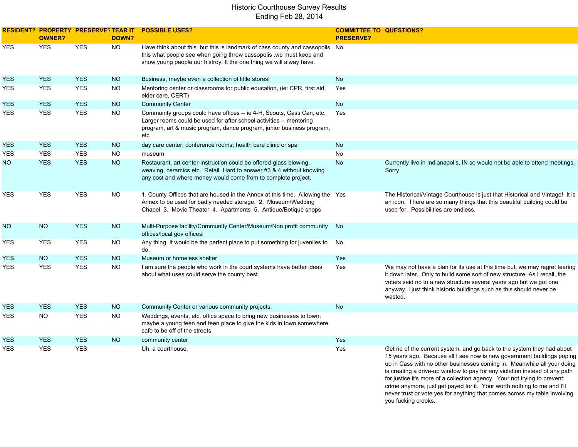|            | <b>OWNER?</b> | RESIDENT? PROPERTY PRESERVE?TEAR IT | DOWN?     | <b>POSSIBLE USES?</b>                                                                                                                                                                                                        | <b>COMMITTEE TO QUESTIONS?</b><br><b>PRESERVE?</b> |                                                                                                                                                                                                                                                                                                                  |
|------------|---------------|-------------------------------------|-----------|------------------------------------------------------------------------------------------------------------------------------------------------------------------------------------------------------------------------------|----------------------------------------------------|------------------------------------------------------------------------------------------------------------------------------------------------------------------------------------------------------------------------------------------------------------------------------------------------------------------|
| YES        | <b>YES</b>    | <b>YES</b>                          | <b>NO</b> | Have think about this .but this is landmark of cass county and cassopolis No<br>this what people see when going threw cassopolis .we must keep and<br>show young people our histroy. It the one thing we will alway have.    |                                                    |                                                                                                                                                                                                                                                                                                                  |
| <b>YES</b> | <b>YES</b>    | <b>YES</b>                          | <b>NO</b> | Business, maybe even a collection of little stores!                                                                                                                                                                          | <b>No</b>                                          |                                                                                                                                                                                                                                                                                                                  |
| YES        | <b>YES</b>    | <b>YES</b>                          | NO        | Mentoring center or classrooms for public education, (ie: CPR, first aid,<br>elder care, CERT)                                                                                                                               | Yes                                                |                                                                                                                                                                                                                                                                                                                  |
| <b>YES</b> | <b>YES</b>    | <b>YES</b>                          | <b>NO</b> | <b>Community Center</b>                                                                                                                                                                                                      | <b>No</b>                                          |                                                                                                                                                                                                                                                                                                                  |
| YES        | <b>YES</b>    | <b>YES</b>                          | NO        | Community groups could have offices -- ie 4-H, Scouts, Cass Can, etc.<br>Larger rooms could be used for after school activities -- mentoring<br>program, art & music program, dance program, junior business program,<br>etc | Yes                                                |                                                                                                                                                                                                                                                                                                                  |
| <b>YES</b> | <b>YES</b>    | <b>YES</b>                          | NO        | day care center; conference rooms; health care clinic or spa                                                                                                                                                                 | <b>No</b>                                          |                                                                                                                                                                                                                                                                                                                  |
| <b>YES</b> | <b>YES</b>    | <b>YES</b>                          | <b>NO</b> | museum                                                                                                                                                                                                                       | <b>No</b>                                          |                                                                                                                                                                                                                                                                                                                  |
| NO.        | <b>YES</b>    | <b>YES</b>                          | <b>NO</b> | Restaurant, art center-instruction could be offered-glass blowing,<br>weaving, ceramics etc. Retail. Hard to answer #3 & 4 without knowing<br>any cost and where money would come from to complete project.                  | <b>No</b>                                          | Currently live in Indianapolis, IN so would not be able to attend meetings.<br>Sorry                                                                                                                                                                                                                             |
| <b>YES</b> | <b>YES</b>    | <b>YES</b>                          | <b>NO</b> | 1. County Offices that are housed in the Annex at this time. Allowing the Yes<br>Annex to be used for badly needed storage. 2. Museum/Wedding<br>Chapel 3. Movie Theater 4. Apartments 5. Antique/Botique shops              |                                                    | The Historical/Vintage Courthouse is just that Historical and Vintage! It is<br>an icon. There are so many things that this beautiful building could be<br>used for. Possibilities are endless.                                                                                                                  |
| <b>NO</b>  | <b>NO</b>     | <b>YES</b>                          | NO        | Multi-Purpose facility/Community Center/Museum/Non profit community<br>offices/local gov offices.                                                                                                                            | No                                                 |                                                                                                                                                                                                                                                                                                                  |
| YES        | <b>YES</b>    | <b>YES</b>                          | NO        | Any thing. It would be the perfect place to put something for juveniles to<br>do.                                                                                                                                            | No                                                 |                                                                                                                                                                                                                                                                                                                  |
| <b>YES</b> | <b>NO</b>     | <b>YES</b>                          | <b>NO</b> | Museum or homeless shelter                                                                                                                                                                                                   | <b>Yes</b>                                         |                                                                                                                                                                                                                                                                                                                  |
| YES.       | <b>YES</b>    | <b>YES</b>                          | <b>NO</b> | I am sure the people who work in the court systems have better ideas<br>about what uses could serve the county best.                                                                                                         | Yes                                                | We may not have a plan for its use at this time but, we may regret tearing<br>it down later. Only to build some sort of new structure. As I recall, the<br>voters said no to a new structure several years ago but we got one<br>anyway. I just think historic buildings such as this should never be<br>wasted. |
| <b>YES</b> | <b>YES</b>    | <b>YES</b>                          | <b>NO</b> | Community Center or various community projects.                                                                                                                                                                              | <b>No</b>                                          |                                                                                                                                                                                                                                                                                                                  |
| <b>YES</b> | <b>NO</b>     | <b>YES</b>                          | NO        | Weddings, events, etc. office space to bring new businesses to town;<br>maybe a young teen and teen place to give the kids in town somewhere<br>safe to be off of the streets                                                |                                                    |                                                                                                                                                                                                                                                                                                                  |
| YES.       | <b>YES</b>    | <b>YES</b>                          | <b>NO</b> | community center                                                                                                                                                                                                             | Yes                                                |                                                                                                                                                                                                                                                                                                                  |
| <b>YES</b> | <b>YES</b>    | <b>YES</b>                          |           | Uh, a courthouse.                                                                                                                                                                                                            | Yes                                                | Get rid of the current system, and go back to the system they had about<br>15 years ago. Because all I see now is new government buildings poping                                                                                                                                                                |

 up in Cass with no other businesses coming in. Meanwhile all your doing is creating a drive-up window to pay for any violation instead of any path for justice it's more of a collection agency. Your not trying to prevent crime anymore, just get payed for it. Your worth nothing to me and I'll never trust or vote yes for anything that comes across my table involving you fucking crooks.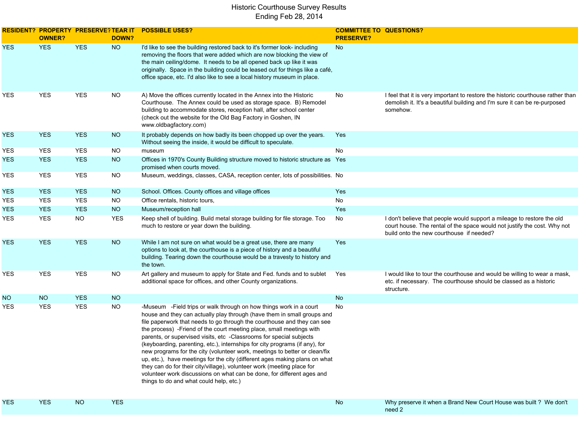|            | <b>OWNER?</b> | <b>RESIDENT? PROPERTY PRESERVE? TEAR IT</b> | <b>DOWN?</b> | <b>POSSIBLE USES?</b>                                                                                                                                                                                                                                                                                                                                                                                                                                                                                                                                                                                                                                                                                                                                                                                             | <b>COMMITTEE TO QUESTIONS?</b><br><b>PRESERVE?</b> |                                                                                                                                                                                                |
|------------|---------------|---------------------------------------------|--------------|-------------------------------------------------------------------------------------------------------------------------------------------------------------------------------------------------------------------------------------------------------------------------------------------------------------------------------------------------------------------------------------------------------------------------------------------------------------------------------------------------------------------------------------------------------------------------------------------------------------------------------------------------------------------------------------------------------------------------------------------------------------------------------------------------------------------|----------------------------------------------------|------------------------------------------------------------------------------------------------------------------------------------------------------------------------------------------------|
| <b>YES</b> | <b>YES</b>    | <b>YES</b>                                  | <b>NO</b>    | I'd like to see the building restored back to it's former look- including<br>removing the floors that were added which are now blocking the view of<br>the main ceiling/dome. It needs to be all opened back up like it was<br>originally. Space in the building could be leased out for things like a café,<br>office space, etc. I'd also like to see a local history museum in place.                                                                                                                                                                                                                                                                                                                                                                                                                          | No                                                 |                                                                                                                                                                                                |
| YES        | YES           | <b>YES</b>                                  | <b>NO</b>    | A) Move the offices currently located in the Annex into the Historic<br>Courthouse. The Annex could be used as storage space. B) Remodel<br>building to accommodate stores, reception hall, after school center<br>(check out the website for the Old Bag Factory in Goshen, IN<br>www.oldbagfactory.com)                                                                                                                                                                                                                                                                                                                                                                                                                                                                                                         | No                                                 | I feel that it is very important to restore the historic courthouse rather than<br>demolish it. It's a beautiful building and I'm sure it can be re-purposed<br>somehow.                       |
| <b>YES</b> | <b>YES</b>    | <b>YES</b>                                  | <b>NO</b>    | It probably depends on how badly its been chopped up over the years.<br>Without seeing the inside, it would be difficult to speculate.                                                                                                                                                                                                                                                                                                                                                                                                                                                                                                                                                                                                                                                                            | Yes                                                |                                                                                                                                                                                                |
| YES        | YES           | <b>YES</b>                                  | $NO$         | museum                                                                                                                                                                                                                                                                                                                                                                                                                                                                                                                                                                                                                                                                                                                                                                                                            | No                                                 |                                                                                                                                                                                                |
| <b>YES</b> | <b>YES</b>    | <b>YES</b>                                  | <b>NO</b>    | Offices in 1970's County Building structure moved to historic structure as Yes<br>promised when courts moved.                                                                                                                                                                                                                                                                                                                                                                                                                                                                                                                                                                                                                                                                                                     |                                                    |                                                                                                                                                                                                |
| YES        | YES           | <b>YES</b>                                  | <b>NO</b>    | Museum, weddings, classes, CASA, reception center, lots of possibilities. No                                                                                                                                                                                                                                                                                                                                                                                                                                                                                                                                                                                                                                                                                                                                      |                                                    |                                                                                                                                                                                                |
| <b>YES</b> | <b>YES</b>    | <b>YES</b>                                  | <b>NO</b>    | School. Offices. County offices and village offices                                                                                                                                                                                                                                                                                                                                                                                                                                                                                                                                                                                                                                                                                                                                                               | Yes                                                |                                                                                                                                                                                                |
| YES        | <b>YES</b>    | <b>YES</b>                                  | <b>NO</b>    | Office rentals, historic tours,                                                                                                                                                                                                                                                                                                                                                                                                                                                                                                                                                                                                                                                                                                                                                                                   | No                                                 |                                                                                                                                                                                                |
| <b>YES</b> | <b>YES</b>    | <b>YES</b>                                  | NO           | Museum/reception hall                                                                                                                                                                                                                                                                                                                                                                                                                                                                                                                                                                                                                                                                                                                                                                                             | Yes                                                |                                                                                                                                                                                                |
| YES        | <b>YES</b>    | NO                                          | <b>YES</b>   | Keep shell of building. Build metal storage building for file storage. Too<br>much to restore or year down the building.                                                                                                                                                                                                                                                                                                                                                                                                                                                                                                                                                                                                                                                                                          | No                                                 | I don't believe that people would support a mileage to restore the old<br>court house. The rental of the space would not justify the cost. Why not<br>build onto the new courthouse if needed? |
| <b>YES</b> | <b>YES</b>    | <b>YES</b>                                  | NO           | While I am not sure on what would be a great use, there are many<br>options to look at, the courthouse is a piece of history and a beautiful<br>building. Tearing down the courthouse would be a travesty to history and<br>the town.                                                                                                                                                                                                                                                                                                                                                                                                                                                                                                                                                                             | Yes                                                |                                                                                                                                                                                                |
| YES        | YES           | <b>YES</b>                                  | $NO$         | Art gallery and museum to apply for State and Fed. funds and to sublet<br>additional space for offices, and other County organizations.                                                                                                                                                                                                                                                                                                                                                                                                                                                                                                                                                                                                                                                                           | Yes                                                | I would like to tour the courthouse and would be willing to wear a mask,<br>etc. if necessary. The courthouse should be classed as a historic<br>structure.                                    |
| <b>NO</b>  | <b>NO</b>     | <b>YES</b>                                  | <b>NO</b>    |                                                                                                                                                                                                                                                                                                                                                                                                                                                                                                                                                                                                                                                                                                                                                                                                                   | No                                                 |                                                                                                                                                                                                |
| YES        | <b>YES</b>    | <b>YES</b>                                  | <b>NO</b>    | -Museum -Field trips or walk through on how things work in a court<br>house and they can actually play through (have them in small groups and<br>file paperwork that needs to go through the courthouse and they can see<br>the process) -Friend of the court meeting place, small meetings with<br>parents, or supervised visits, etc -Classrooms for special subjects<br>(keyboarding, parenting, etc.), internships for city programs (if any), for<br>new programs for the city (volunteer work, meetings to better or clean/fix<br>up, etc.), have meetings for the city (different ages making plans on what<br>they can do for their city/village), volunteer work (meeting place for<br>volunteer work discussions on what can be done, for different ages and<br>things to do and what could help, etc.) | No                                                 |                                                                                                                                                                                                |
| <b>YES</b> | <b>YES</b>    | <b>NO</b>                                   | <b>YES</b>   |                                                                                                                                                                                                                                                                                                                                                                                                                                                                                                                                                                                                                                                                                                                                                                                                                   | No                                                 | Why preserve it when a Brand New Court House was built ? We don't<br>need 2                                                                                                                    |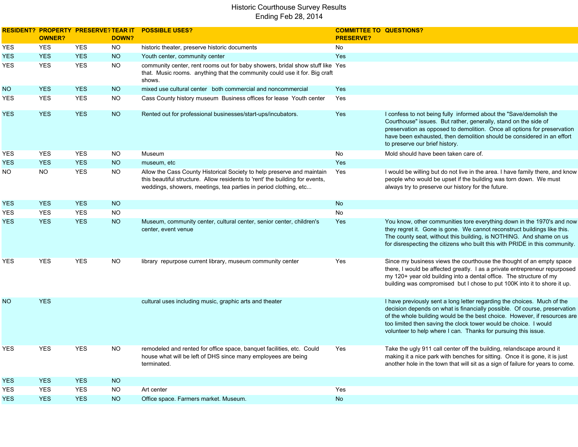|            | <b>RESIDENT? PROPERTY PRESERVE? TEAR IT</b><br><b>OWNER?</b> |            | DOWN?     | <b>POSSIBLE USES?</b>                                                                                                                                                                                                      | <b>COMMITTEE TO QUESTIONS?</b><br><b>PRESERVE?</b> |                                                                                                                                                                                                                                                                                                                                                                         |
|------------|--------------------------------------------------------------|------------|-----------|----------------------------------------------------------------------------------------------------------------------------------------------------------------------------------------------------------------------------|----------------------------------------------------|-------------------------------------------------------------------------------------------------------------------------------------------------------------------------------------------------------------------------------------------------------------------------------------------------------------------------------------------------------------------------|
| YES        | <b>YES</b>                                                   | <b>YES</b> | <b>NO</b> | historic theater, preserve historic documents                                                                                                                                                                              | No                                                 |                                                                                                                                                                                                                                                                                                                                                                         |
| YES        | <b>YES</b>                                                   | <b>YES</b> | $NO$      | Youth center, community center                                                                                                                                                                                             | Yes                                                |                                                                                                                                                                                                                                                                                                                                                                         |
| YES        | <b>YES</b>                                                   | <b>YES</b> | <b>NO</b> | community center, rent rooms out for baby showers, bridal show stuff like Yes<br>that. Music rooms. anything that the community could use it for. Big craft<br>shows.                                                      |                                                    |                                                                                                                                                                                                                                                                                                                                                                         |
| NO.        | <b>YES</b>                                                   | <b>YES</b> | <b>NO</b> | mixed use cultural center both commercial and noncommercial                                                                                                                                                                | Yes                                                |                                                                                                                                                                                                                                                                                                                                                                         |
| YES        | <b>YES</b>                                                   | <b>YES</b> | NO.       | Cass County history museum Business offices for lease Youth center                                                                                                                                                         | Yes                                                |                                                                                                                                                                                                                                                                                                                                                                         |
| <b>YES</b> | <b>YES</b>                                                   | <b>YES</b> | <b>NO</b> | Rented out for professional businesses/start-ups/incubators.                                                                                                                                                               | Yes                                                | I confess to not being fully informed about the "Save/demolish the<br>Courthouse" issues. But rather, generally, stand on the side of<br>preservation as opposed to demolition. Once all options for preservation<br>have been exhausted, then demolition should be considered in an effort<br>to preserve our brief history.                                           |
| YES        | <b>YES</b>                                                   | <b>YES</b> | NO.       | Museum                                                                                                                                                                                                                     | No                                                 | Mold should have been taken care of.                                                                                                                                                                                                                                                                                                                                    |
| <b>YES</b> | <b>YES</b>                                                   | <b>YES</b> | <b>NO</b> | museum, etc                                                                                                                                                                                                                | Yes                                                |                                                                                                                                                                                                                                                                                                                                                                         |
| NO.        | <b>NO</b>                                                    | <b>YES</b> | <b>NO</b> | Allow the Cass County Historical Society to help preserve and maintain<br>this beautiful structure. Allow residents to 'rent' the building for events,<br>weddings, showers, meetings, tea parties in period clothing, etc | Yes                                                | I would be willing but do not live in the area. I have family there, and know<br>people who would be upset if the building was torn down. We must<br>always try to preserve our history for the future.                                                                                                                                                                 |
| YES        | <b>YES</b>                                                   | <b>YES</b> | <b>NO</b> |                                                                                                                                                                                                                            | <b>No</b>                                          |                                                                                                                                                                                                                                                                                                                                                                         |
| YES        | <b>YES</b>                                                   | <b>YES</b> | <b>NO</b> |                                                                                                                                                                                                                            | No                                                 |                                                                                                                                                                                                                                                                                                                                                                         |
| YES        | <b>YES</b>                                                   | <b>YES</b> | <b>NO</b> | Museum, community center, cultural center, senior center, children's<br>center, event venue                                                                                                                                | Yes                                                | You know, other communities tore everything down in the 1970's and now<br>they regret it. Gone is gone. We cannot reconstruct buildings like this.<br>The county seat, without this building, is NOTHING. And shame on us<br>for disrespecting the citizens who built this with PRIDE in this community.                                                                |
| YES        | <b>YES</b>                                                   | <b>YES</b> | NO.       | library repurpose current library, museum community center                                                                                                                                                                 | Yes                                                | Since my business views the courthouse the thought of an empty space<br>there, I would be affected greatly. I as a private entrepreneur repurposed<br>my 120+ year old building into a dental office. The structure of my<br>building was compromised but I chose to put 100K into it to shore it up.                                                                   |
| NO.        | <b>YES</b>                                                   |            |           | cultural uses including music, graphic arts and theater                                                                                                                                                                    |                                                    | I have previously sent a long letter regarding the choices. Much of the<br>decision depends on what is financially possible. Of course, preservation<br>of the whole building would be the best choice. However, if resources are<br>too limited then saving the clock tower would be choice. I would<br>volunteer to help where I can. Thanks for pursuing this issue. |
| YES        | <b>YES</b>                                                   | <b>YES</b> | NO.       | remodeled and rented for office space, banquet facilities, etc. Could<br>house what will be left of DHS since many employees are being<br>terminated.                                                                      | Yes                                                | Take the ugly 911 call center off the building, relandscape around it<br>making it a nice park with benches for sitting. Once it is gone, it is just<br>another hole in the town that will sit as a sign of failure for years to come.                                                                                                                                  |
| YES        | <b>YES</b>                                                   | <b>YES</b> | <b>NO</b> |                                                                                                                                                                                                                            |                                                    |                                                                                                                                                                                                                                                                                                                                                                         |
| YES        | <b>YES</b>                                                   | <b>YES</b> | NO.       | Art center                                                                                                                                                                                                                 | Yes                                                |                                                                                                                                                                                                                                                                                                                                                                         |
| <b>YES</b> | <b>YES</b>                                                   | <b>YES</b> | <b>NO</b> | Office space. Farmers market. Museum.                                                                                                                                                                                      | <b>No</b>                                          |                                                                                                                                                                                                                                                                                                                                                                         |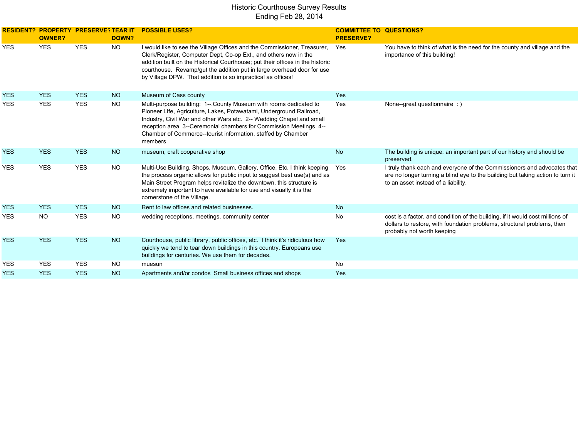|            | <b>RESIDENT? PROPERTY PRESERVE? TEAR IT</b><br><b>OWNER?</b> |            | DOWN?           | <b>POSSIBLE USES?</b>                                                                                                                                                                                                                                                                                                                                                   | <b>COMMITTEE TO QUESTIONS?</b><br><b>PRESERVE?</b> |                                                                                                                                                                                                  |
|------------|--------------------------------------------------------------|------------|-----------------|-------------------------------------------------------------------------------------------------------------------------------------------------------------------------------------------------------------------------------------------------------------------------------------------------------------------------------------------------------------------------|----------------------------------------------------|--------------------------------------------------------------------------------------------------------------------------------------------------------------------------------------------------|
| <b>YES</b> | <b>YES</b>                                                   | <b>YES</b> | NO.             | I would like to see the Village Offices and the Commissioner, Treasurer,<br>Clerk/Register, Computer Dept, Co-op Ext., and others now in the<br>addition built on the Historical Courthouse; put their offices in the historic<br>courthouse. Revamp/gut the addition put in large overhead door for use<br>by Village DPW. That addition is so impractical as offices! | Yes                                                | You have to think of what is the need for the county and village and the<br>importance of this building!                                                                                         |
| <b>YES</b> | <b>YES</b>                                                   | <b>YES</b> | <b>NO</b>       | Museum of Cass county                                                                                                                                                                                                                                                                                                                                                   | Yes                                                |                                                                                                                                                                                                  |
| <b>YES</b> | <b>YES</b>                                                   | <b>YES</b> | <b>NO</b>       | Multi-purpose building: 1--. County Museum with rooms dedicated to<br>Pioneer LIfe, Agriculture, Lakes, Potawatami, Underground Railroad,<br>Industry, Civil War and other Wars etc. 2-- Wedding Chapel and small<br>reception area 3--Ceremonial chambers for Commission Meetings 4--<br>Chamber of Commerce--tourist information, staffed by Chamber<br>members       | Yes                                                | None--great questionnaire : )                                                                                                                                                                    |
| <b>YES</b> | <b>YES</b>                                                   | <b>YES</b> | <b>NO</b>       | museum, craft cooperative shop                                                                                                                                                                                                                                                                                                                                          | <b>No</b>                                          | The building is unique; an important part of our history and should be<br>preserved.                                                                                                             |
| <b>YES</b> | <b>YES</b>                                                   | <b>YES</b> | <b>NO</b>       | Multi-Use Building. Shops, Museum, Gallery, Office, Etc. I think keeping<br>the process organic allows for public input to suggest best use(s) and as<br>Main Street Program helps revitalize the downtown, this structure is<br>extremely important to have available for use and visually it is the<br>cornerstone of the Village.                                    | Yes                                                | I truly thank each and everyone of the Commissioners and advocates that<br>are no longer turning a blind eye to the building but taking action to turn it<br>to an asset instead of a liability. |
| <b>YES</b> | <b>YES</b>                                                   | <b>YES</b> | NO <sub>1</sub> | Rent to law offices and related businesses.                                                                                                                                                                                                                                                                                                                             | <b>No</b>                                          |                                                                                                                                                                                                  |
| <b>YES</b> | <b>NO</b>                                                    | <b>YES</b> | <b>NO</b>       | wedding receptions, meetings, community center                                                                                                                                                                                                                                                                                                                          | No                                                 | cost is a factor, and condition of the building, if it would cost millions of<br>dollars to restore, with foundation problems, structural problems, then<br>probably not worth keeping           |
| <b>YES</b> | <b>YES</b>                                                   | <b>YES</b> | <b>NO</b>       | Courthouse, public library, public offices, etc. I think it's ridiculous how<br>quickly we tend to tear down buildings in this country. Europeans use<br>buildings for centuries. We use them for decades.                                                                                                                                                              | Yes                                                |                                                                                                                                                                                                  |
| <b>YES</b> | <b>YES</b>                                                   | <b>YES</b> | <b>NO</b>       | muesun                                                                                                                                                                                                                                                                                                                                                                  | <b>No</b>                                          |                                                                                                                                                                                                  |
| <b>YES</b> | <b>YES</b>                                                   | <b>YES</b> | <b>NO</b>       | Apartments and/or condos Small business offices and shops                                                                                                                                                                                                                                                                                                               | Yes                                                |                                                                                                                                                                                                  |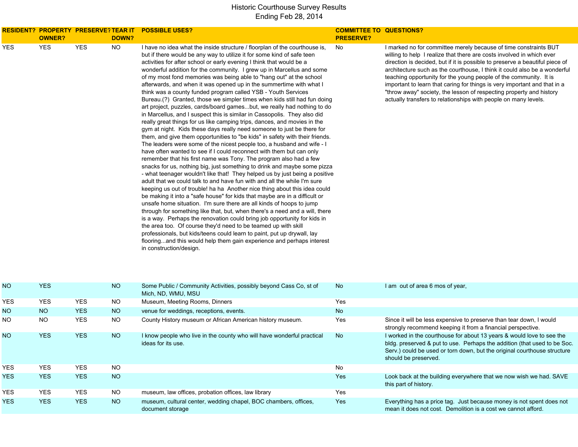|            | <b>OWNER?</b> |            | DOWN?     | RESIDENT? PROPERTY PRESERVE?TEAR IT POSSIBLE USES?                                                                                                                                                                                                                                                                                                                                                                                                                                                                                                                                                                                                                                                                                                                                                                                                                                                                                                                                                                                                                                                                                                                                                                                                                                                                                                                                                                                                                                                                                                                                                                                                                                                                                                                                                                                                                                                                                                                                                                                                                                                         | <b>COMMITTEE TO QUESTIONS?</b><br><b>PRESERVE?</b> |                                                                                                                                                                                                                                                                                                                                                                                                                                                                                                                                                                                                    |
|------------|---------------|------------|-----------|------------------------------------------------------------------------------------------------------------------------------------------------------------------------------------------------------------------------------------------------------------------------------------------------------------------------------------------------------------------------------------------------------------------------------------------------------------------------------------------------------------------------------------------------------------------------------------------------------------------------------------------------------------------------------------------------------------------------------------------------------------------------------------------------------------------------------------------------------------------------------------------------------------------------------------------------------------------------------------------------------------------------------------------------------------------------------------------------------------------------------------------------------------------------------------------------------------------------------------------------------------------------------------------------------------------------------------------------------------------------------------------------------------------------------------------------------------------------------------------------------------------------------------------------------------------------------------------------------------------------------------------------------------------------------------------------------------------------------------------------------------------------------------------------------------------------------------------------------------------------------------------------------------------------------------------------------------------------------------------------------------------------------------------------------------------------------------------------------------|----------------------------------------------------|----------------------------------------------------------------------------------------------------------------------------------------------------------------------------------------------------------------------------------------------------------------------------------------------------------------------------------------------------------------------------------------------------------------------------------------------------------------------------------------------------------------------------------------------------------------------------------------------------|
| <b>YES</b> | <b>YES</b>    | <b>YES</b> | <b>NO</b> | I have no idea what the inside structure / floorplan of the courthouse is,<br>but if there would be any way to utilize it for some kind of safe teen<br>activities for after school or early evening I think that would be a<br>wonderful addition for the community. I grew up in Marcellus and some<br>of my most fond memories was being able to "hang out" at the school<br>afterwards, and when it was opened up in the summertime with what I<br>think was a county funded program called YSB - Youth Services<br>Bureau.(?) Granted, those we simpler times when kids still had fun doing<br>art project, puzzles, cards/board gamesbut, we really had nothing to do<br>in Marcellus, and I suspect this is similar in Cassopolis. They also did<br>really great things for us like camping trips, dances, and movies in the<br>gym at night. Kids these days really need someone to just be there for<br>them, and give them opportunities to "be kids" in safety with their friends.<br>The leaders were some of the nicest people too, a husband and wife - I<br>have often wanted to see if I could reconnect with them but can only<br>remember that his first name was Tony. The program also had a few<br>snacks for us, nothing big, just something to drink and maybe some pizza<br>- what teenager wouldn't like that! They helped us by just being a positive<br>adult that we could talk to and have fun with and all the while I'm sure<br>keeping us out of trouble! ha ha Another nice thing about this idea could<br>be making it into a "safe house" for kids that maybe are in a difficult or<br>unsafe home situation. I'm sure there are all kinds of hoops to jump<br>through for something like that, but, when there's a need and a will, there<br>is a way. Perhaps the renovation could bring job opportunity for kids in<br>the area too. Of course they'd need to be teamed up with skill<br>professionals, but kids/teens could learn to paint, put up drywall, lay<br>flooringand this would help them gain experience and perhaps interest<br>in construction/design. | No                                                 | I marked no for committee merely because of time constraints BUT<br>willing to help I realize that there are costs involved in which ever<br>direction is decided, but if it is possible to preserve a beautiful piece of<br>architecture such as the courthouse, I think it could also be a wonderful<br>teaching opportunity for the young people of the community. It is<br>important to learn that caring for things is very important and that in a<br>"throw away" society, the lesson of respecting property and history<br>actually transfers to relationships with people on many levels. |
| NO.        | <b>YES</b>    |            | <b>NO</b> | Some Public / Community Activities, possibly beyond Cass Co, st of<br>Mich, ND, WMU, MSU                                                                                                                                                                                                                                                                                                                                                                                                                                                                                                                                                                                                                                                                                                                                                                                                                                                                                                                                                                                                                                                                                                                                                                                                                                                                                                                                                                                                                                                                                                                                                                                                                                                                                                                                                                                                                                                                                                                                                                                                                   | No                                                 | I am out of area 6 mos of year,                                                                                                                                                                                                                                                                                                                                                                                                                                                                                                                                                                    |
| YES        | <b>YES</b>    | <b>YES</b> | <b>NO</b> | Museum, Meeting Rooms, Dinners                                                                                                                                                                                                                                                                                                                                                                                                                                                                                                                                                                                                                                                                                                                                                                                                                                                                                                                                                                                                                                                                                                                                                                                                                                                                                                                                                                                                                                                                                                                                                                                                                                                                                                                                                                                                                                                                                                                                                                                                                                                                             | Yes                                                |                                                                                                                                                                                                                                                                                                                                                                                                                                                                                                                                                                                                    |
| NO.        | <b>NO</b>     | <b>YES</b> | <b>NO</b> | venue for weddings, receptions, events.                                                                                                                                                                                                                                                                                                                                                                                                                                                                                                                                                                                                                                                                                                                                                                                                                                                                                                                                                                                                                                                                                                                                                                                                                                                                                                                                                                                                                                                                                                                                                                                                                                                                                                                                                                                                                                                                                                                                                                                                                                                                    | No                                                 |                                                                                                                                                                                                                                                                                                                                                                                                                                                                                                                                                                                                    |
| NO.        | NO.           | <b>YES</b> | <b>NO</b> | County History museum or African American history museum.                                                                                                                                                                                                                                                                                                                                                                                                                                                                                                                                                                                                                                                                                                                                                                                                                                                                                                                                                                                                                                                                                                                                                                                                                                                                                                                                                                                                                                                                                                                                                                                                                                                                                                                                                                                                                                                                                                                                                                                                                                                  | Yes                                                | Since it will be less expensive to preserve than tear down, I would<br>strongly recommend keeping it from a financial perspective.                                                                                                                                                                                                                                                                                                                                                                                                                                                                 |
| NO.        | <b>YES</b>    | <b>YES</b> | <b>NO</b> | I know people who live in the county who will have wonderful practical<br>ideas for its use.                                                                                                                                                                                                                                                                                                                                                                                                                                                                                                                                                                                                                                                                                                                                                                                                                                                                                                                                                                                                                                                                                                                                                                                                                                                                                                                                                                                                                                                                                                                                                                                                                                                                                                                                                                                                                                                                                                                                                                                                               | No                                                 | I worked in the courthouse for about 13 years & would love to see the<br>bldg. preserved & put to use. Perhaps the addition (that used to be Soc.<br>Serv.) could be used or torn down, but the original courthouse structure<br>should be preserved.                                                                                                                                                                                                                                                                                                                                              |
| YES        | <b>YES</b>    | <b>YES</b> | <b>NO</b> |                                                                                                                                                                                                                                                                                                                                                                                                                                                                                                                                                                                                                                                                                                                                                                                                                                                                                                                                                                                                                                                                                                                                                                                                                                                                                                                                                                                                                                                                                                                                                                                                                                                                                                                                                                                                                                                                                                                                                                                                                                                                                                            | No                                                 |                                                                                                                                                                                                                                                                                                                                                                                                                                                                                                                                                                                                    |
| <b>YES</b> | <b>YES</b>    | <b>YES</b> | NO        |                                                                                                                                                                                                                                                                                                                                                                                                                                                                                                                                                                                                                                                                                                                                                                                                                                                                                                                                                                                                                                                                                                                                                                                                                                                                                                                                                                                                                                                                                                                                                                                                                                                                                                                                                                                                                                                                                                                                                                                                                                                                                                            | Yes                                                | Look back at the building everywhere that we now wish we had. SAVE<br>this part of history.                                                                                                                                                                                                                                                                                                                                                                                                                                                                                                        |
| YES        | YES           | <b>YES</b> | <b>NO</b> | museum, law offices, probation offices, law library                                                                                                                                                                                                                                                                                                                                                                                                                                                                                                                                                                                                                                                                                                                                                                                                                                                                                                                                                                                                                                                                                                                                                                                                                                                                                                                                                                                                                                                                                                                                                                                                                                                                                                                                                                                                                                                                                                                                                                                                                                                        | Yes                                                |                                                                                                                                                                                                                                                                                                                                                                                                                                                                                                                                                                                                    |
| <b>YES</b> | <b>YES</b>    | <b>YES</b> | NO        | museum, cultural center, wedding chapel, BOC chambers, offices,<br>document storage                                                                                                                                                                                                                                                                                                                                                                                                                                                                                                                                                                                                                                                                                                                                                                                                                                                                                                                                                                                                                                                                                                                                                                                                                                                                                                                                                                                                                                                                                                                                                                                                                                                                                                                                                                                                                                                                                                                                                                                                                        | Yes                                                | Everything has a price tag. Just because money is not spent does not<br>mean it does not cost. Demolition is a cost we cannot afford.                                                                                                                                                                                                                                                                                                                                                                                                                                                              |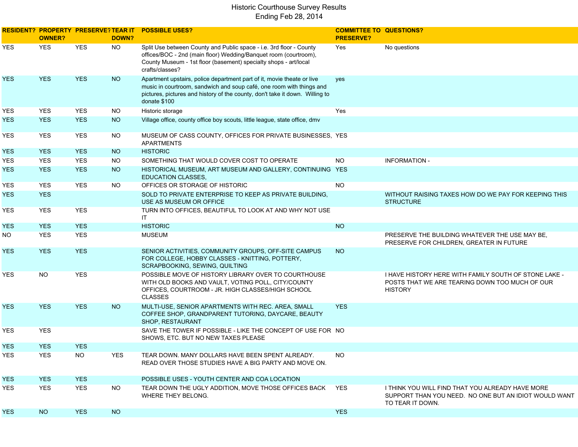|            | RESIDENT? PROPERTY PRESERVE?TEAR IT<br><b>OWNER?</b> |            | DOWN?      | <b>POSSIBLE USES?</b>                                                                                                                                                                                                                          | <b>COMMITTEE TO QUESTIONS?</b><br><b>PRESERVE?</b> |                                                                                                                               |
|------------|------------------------------------------------------|------------|------------|------------------------------------------------------------------------------------------------------------------------------------------------------------------------------------------------------------------------------------------------|----------------------------------------------------|-------------------------------------------------------------------------------------------------------------------------------|
| YES        | <b>YES</b>                                           | <b>YES</b> | <b>NO</b>  | Split Use between County and Public space - i.e. 3rd floor - County<br>offices/BOC - 2nd (main floor) Wedding/Banquet room (courtroom),<br>County Museum - 1st floor (basement) specialty shops - art/local<br>crafts/classes?                 | Yes                                                | No questions                                                                                                                  |
| <b>YES</b> | <b>YES</b>                                           | <b>YES</b> | <b>NO</b>  | Apartment upstairs, police department part of it, movie theate or live<br>music in courtroom, sandwich and soup café, one room with things and<br>pictures, pictures and history of the county, don't take it down. Willing to<br>donate \$100 | yes                                                |                                                                                                                               |
| YES        | <b>YES</b>                                           | <b>YES</b> | <b>NO</b>  | Historic storage                                                                                                                                                                                                                               | Yes                                                |                                                                                                                               |
| YES.       | <b>YES</b>                                           | <b>YES</b> | <b>NO</b>  | Village office, county office boy scouts, little league, state office, dmv                                                                                                                                                                     |                                                    |                                                                                                                               |
| YES        | <b>YES</b>                                           | <b>YES</b> | <b>NO</b>  | MUSEUM OF CASS COUNTY, OFFICES FOR PRIVATE BUSINESSES, YES<br><b>APARTMENTS</b>                                                                                                                                                                |                                                    |                                                                                                                               |
| YES.       | <b>YES</b>                                           | <b>YES</b> | <b>NO</b>  | <b>HISTORIC</b>                                                                                                                                                                                                                                |                                                    |                                                                                                                               |
| YES        | YES                                                  | <b>YES</b> | <b>NO</b>  | SOMETHING THAT WOULD COVER COST TO OPERATE                                                                                                                                                                                                     | <b>NO</b>                                          | <b>INFORMATION -</b>                                                                                                          |
| <b>YES</b> | <b>YES</b>                                           | <b>YES</b> | <b>NO</b>  | HISTORICAL MUSEUM, ART MUSEUM AND GALLERY, CONTINUING YES<br><b>EDUCATION CLASSES,</b>                                                                                                                                                         |                                                    |                                                                                                                               |
| YES        | <b>YES</b>                                           | <b>YES</b> | <b>NO</b>  | OFFICES OR STORAGE OF HISTORIC                                                                                                                                                                                                                 | <b>NO</b>                                          |                                                                                                                               |
| YES.       | <b>YES</b>                                           |            |            | SOLD TO PRIVATE ENTERPRISE TO KEEP AS PRIVATE BUILDING.<br>USE AS MUSEUM OR OFFICE                                                                                                                                                             |                                                    | WITHOUT RAISING TAXES HOW DO WE PAY FOR KEEPING THIS<br><b>STRUCTURE</b>                                                      |
| YES        | YES                                                  | <b>YES</b> |            | TURN INTO OFFICES, BEAUTIFUL TO LOOK AT AND WHY NOT USE<br>IT                                                                                                                                                                                  |                                                    |                                                                                                                               |
| YES.       | <b>YES</b>                                           | <b>YES</b> |            | <b>HISTORIC</b>                                                                                                                                                                                                                                | <b>NO</b>                                          |                                                                                                                               |
| NO.        | <b>YES</b>                                           | <b>YES</b> |            | <b>MUSEUM</b>                                                                                                                                                                                                                                  |                                                    | PRESERVE THE BUILDING WHATEVER THE USE MAY BE.<br>PRESERVE FOR CHILDREN, GREATER IN FUTURE                                    |
| YES.       | <b>YES</b>                                           | <b>YES</b> |            | SENIOR ACTIVITIES, COMMUNITY GROUPS, OFF-SITE CAMPUS<br>FOR COLLEGE, HOBBY CLASSES - KNITTING, POTTERY,<br>SCRAPBOOKING, SEWING, QUILTING                                                                                                      | <b>NO</b>                                          |                                                                                                                               |
| YES        | <b>NO</b>                                            | <b>YES</b> |            | POSSIBLE MOVE OF HISTORY LIBRARY OVER TO COURTHOUSE<br>WITH OLD BOOKS AND VAULT, VOTING POLL, CITY/COUNTY<br>OFFICES, COURTROOM - JR. HIGH CLASSES/HIGH SCHOOL<br><b>CLASSES</b>                                                               |                                                    | I HAVE HISTORY HERE WITH FAMILY SOUTH OF STONE LAKE -<br>POSTS THAT WE ARE TEARING DOWN TOO MUCH OF OUR<br><b>HISTORY</b>     |
| <b>YES</b> | <b>YES</b>                                           | <b>YES</b> | <b>NO</b>  | MULTI-USE, SENIOR APARTMENTS WITH REC. AREA, SMALL<br>COFFEE SHOP, GRANDPARENT TUTORING, DAYCARE, BEAUTY<br>SHOP, RESTAURANT                                                                                                                   | <b>YES</b>                                         |                                                                                                                               |
| YES        | <b>YES</b>                                           |            |            | SAVE THE TOWER IF POSSIBLE - LIKE THE CONCEPT OF USE FOR NO<br>SHOWS, ETC. BUT NO NEW TAXES PLEASE                                                                                                                                             |                                                    |                                                                                                                               |
| <b>YES</b> | <b>YES</b>                                           | <b>YES</b> |            |                                                                                                                                                                                                                                                |                                                    |                                                                                                                               |
| YES        | <b>YES</b>                                           | NO.        | <b>YES</b> | TEAR DOWN, MANY DOLLARS HAVE BEEN SPENT ALREADY.<br>READ OVER THOSE STUDIES HAVE A BIG PARTY AND MOVE ON.                                                                                                                                      | NO.                                                |                                                                                                                               |
| <b>YES</b> | <b>YES</b>                                           | <b>YES</b> |            | POSSIBLE USES - YOUTH CENTER AND COA LOCATION                                                                                                                                                                                                  |                                                    |                                                                                                                               |
| YES.       | YES                                                  | <b>YES</b> | <b>NO</b>  | TEAR DOWN THE UGLY ADDITION, MOVE THOSE OFFICES BACK<br>WHERE THEY BELONG.                                                                                                                                                                     | YES                                                | I THINK YOU WILL FIND THAT YOU ALREADY HAVE MORE<br>SUPPORT THAN YOU NEED. NO ONE BUT AN IDIOT WOULD WANT<br>TO TEAR IT DOWN. |
| YES.       | NO <sub>1</sub>                                      | <b>YES</b> | <b>NO</b>  |                                                                                                                                                                                                                                                | <b>YES</b>                                         |                                                                                                                               |
|            |                                                      |            |            |                                                                                                                                                                                                                                                |                                                    |                                                                                                                               |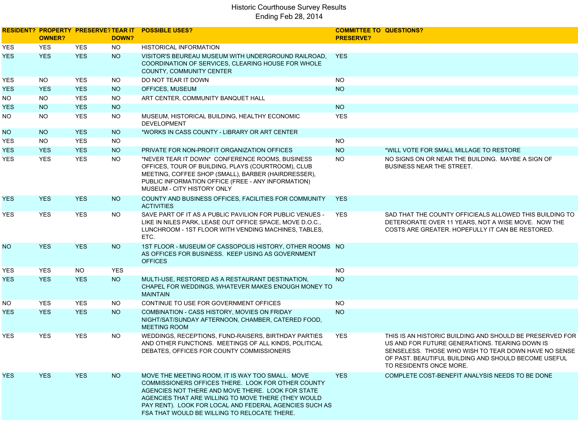|            | <b>OWNER?</b> |            | DOWN?      | <b>RESIDENT? PROPERTY PRESERVE?TEAR IT POSSIBLE USES?</b>                                                                                                                                                                                                                                                                    | <b>COMMITTEE TO QUESTIONS?</b><br><b>PRESERVE?</b> |                                                                                                                                                                                                                                                       |
|------------|---------------|------------|------------|------------------------------------------------------------------------------------------------------------------------------------------------------------------------------------------------------------------------------------------------------------------------------------------------------------------------------|----------------------------------------------------|-------------------------------------------------------------------------------------------------------------------------------------------------------------------------------------------------------------------------------------------------------|
| YES        | <b>YES</b>    | <b>YES</b> | <b>NO</b>  | HISTORICAL INFORMATION                                                                                                                                                                                                                                                                                                       |                                                    |                                                                                                                                                                                                                                                       |
| YES.       | <b>YES</b>    | <b>YES</b> | <b>NO</b>  | VISITOR'S BEUREAU MUSEUM WITH UNDERGROUND RAILROAD.<br>COORDINATION OF SERVICES, CLEARING HOUSE FOR WHOLE<br><b>COUNTY, COMMUNITY CENTER</b>                                                                                                                                                                                 | <b>YES</b>                                         |                                                                                                                                                                                                                                                       |
| YES        | NO.           | <b>YES</b> | NO.        | DO NOT TEAR IT DOWN                                                                                                                                                                                                                                                                                                          | <b>NO</b>                                          |                                                                                                                                                                                                                                                       |
| YES.       | <b>YES</b>    | <b>YES</b> | <b>NO</b>  | OFFICES, MUSEUM                                                                                                                                                                                                                                                                                                              | <b>NO</b>                                          |                                                                                                                                                                                                                                                       |
| NO.        | NO.           | <b>YES</b> | <b>NO</b>  | ART CENTER, COMMUNITY BANQUET HALL                                                                                                                                                                                                                                                                                           |                                                    |                                                                                                                                                                                                                                                       |
| YES.       | NO            | <b>YES</b> | <b>NO</b>  |                                                                                                                                                                                                                                                                                                                              | <b>NO</b>                                          |                                                                                                                                                                                                                                                       |
| NO.        | <b>NO</b>     | <b>YES</b> | <b>NO</b>  | MUSEUM, HISTORICAL BUILDING, HEALTHY ECONOMIC<br><b>DEVELOPMENT</b>                                                                                                                                                                                                                                                          | <b>YES</b>                                         |                                                                                                                                                                                                                                                       |
| NO.        | <b>NO</b>     | <b>YES</b> | NO         | *WORKS IN CASS COUNTY - LIBRARY OR ART CENTER                                                                                                                                                                                                                                                                                |                                                    |                                                                                                                                                                                                                                                       |
| YES        | NO.           | <b>YES</b> | <b>NO</b>  |                                                                                                                                                                                                                                                                                                                              | <b>NO</b>                                          |                                                                                                                                                                                                                                                       |
| <b>YES</b> | <b>YES</b>    | <b>YES</b> | <b>NO</b>  | PRIVATE FOR NON-PROFIT ORGANIZATION OFFICES                                                                                                                                                                                                                                                                                  | <b>NO</b>                                          | *WILL VOTE FOR SMALL MILLAGE TO RESTORE                                                                                                                                                                                                               |
| YES.       | <b>YES</b>    | <b>YES</b> | <b>NO</b>  | *NEVER TEAR IT DOWN* CONFERENCE ROOMS, BUSINESS<br>OFFICES, TOUR OF BUILDING, PLAYS (COURTROOM), CLUB<br>MEETING, COFFEE SHOP (SMALL), BARBER (HAIRDRESSER),<br>PUBLIC INFORMATION OFFICE (FREE - ANY INFORMATION)<br>MUSEUM - CITY HISTORY ONLY                                                                             | <b>NO</b>                                          | NO SIGNS ON OR NEAR THE BUILDING. MAYBE A SIGN OF<br><b>BUSINESS NEAR THE STREET.</b>                                                                                                                                                                 |
| YES.       | <b>YES</b>    | <b>YES</b> | NO         | COUNTY AND BUSINESS OFFICES, FACILITIES FOR COMMUNITY<br><b>ACTIVITIES</b>                                                                                                                                                                                                                                                   | <b>YES</b>                                         |                                                                                                                                                                                                                                                       |
| YES        | <b>YES</b>    | <b>YES</b> | <b>NO</b>  | SAVE PART OF IT AS A PUBLIC PAVILION FOR PUBLIC VENUES -<br>LIKE IN NILES PARK, LEASE OUT OFFICE SPACE, MOVE D.O.C.,<br>LUNCHROOM - 1ST FLOOR WITH VENDING MACHINES, TABLES,<br>ETC.                                                                                                                                         | <b>YES</b>                                         | SAD THAT THE COUNTY OFFICIEALS ALLOWED THIS BUILDING TO<br>DETERIORATE OVER 11 YEARS, NOT A WISE MOVE. NOW THE<br>COSTS ARE GREATER. HOPEFULLY IT CAN BE RESTORED.                                                                                    |
| NO.        | <b>YES</b>    | <b>YES</b> | <b>NO</b>  | 1ST FLOOR - MUSEUM OF CASSOPOLIS HISTORY, OTHER ROOMS NO<br>AS OFFICES FOR BUSINESS. KEEP USING AS GOVERNMENT<br><b>OFFICES</b>                                                                                                                                                                                              |                                                    |                                                                                                                                                                                                                                                       |
| YES        | <b>YES</b>    | <b>NO</b>  | <b>YES</b> |                                                                                                                                                                                                                                                                                                                              | <b>NO</b>                                          |                                                                                                                                                                                                                                                       |
| YES.       | <b>YES</b>    | <b>YES</b> | <b>NO</b>  | MULTI-USE, RESTORED AS A RESTAURANT DESTINATION,<br>CHAPEL FOR WEDDINGS, WHATEVER MAKES ENOUGH MONEY TO<br><b>MAINTAIN</b>                                                                                                                                                                                                   | <b>NO</b>                                          |                                                                                                                                                                                                                                                       |
| NO.        | <b>YES</b>    | <b>YES</b> | NO.        | CONTINUE TO USE FOR GOVERNMENT OFFICES                                                                                                                                                                                                                                                                                       | <b>NO</b>                                          |                                                                                                                                                                                                                                                       |
| YES.       | <b>YES</b>    | <b>YES</b> | <b>NO</b>  | COMBINATION - CASS HISTORY, MOVIES ON FRIDAY<br>NIGHT/SAT/SUNDAY AFTERNOON, CHAMBER, CATERED FOOD,<br><b>MEETING ROOM</b>                                                                                                                                                                                                    | <b>NO</b>                                          |                                                                                                                                                                                                                                                       |
| YES        | <b>YES</b>    | <b>YES</b> | NO.        | WEDDINGS, RECEPTIONS, FUND-RAISERS, BIRTHDAY PARTIES<br>AND OTHER FUNCTIONS. MEETINGS OF ALL KINDS, POLITICAL<br>DEBATES, OFFICES FOR COUNTY COMMISSIONERS                                                                                                                                                                   | <b>YES</b>                                         | THIS IS AN HISTORIC BUILDING AND SHOULD BE PRESERVED FOR<br>US AND FOR FUTURE GENERATIONS. TEARING DOWN IS<br>SENSELESS. THOSE WHO WISH TO TEAR DOWN HAVE NO SENSE<br>OF PAST. BEAUTIFUL BUILDING AND SHOULD BECOME USEFUL<br>TO RESIDENTS ONCE MORE. |
| YES.       | <b>YES</b>    | <b>YES</b> | <b>NO</b>  | MOVE THE MEETING ROOM, IT IS WAY TOO SMALL. MOVE<br>COMMISSIONERS OFFICES THERE. LOOK FOR OTHER COUNTY<br>AGENCIES NOT THERE AND MOVE THERE. LOOK FOR STATE<br>AGENCIES THAT ARE WILLING TO MOVE THERE (THEY WOULD<br>PAY RENT). LOOK FOR LOCAL AND FEDERAL AGENCIES SUCH AS<br>FSA THAT WOULD BE WILLING TO RELOCATE THERE. | <b>YES</b>                                         | COMPLETE COST-BENEFIT ANALYSIS NEEDS TO BE DONE                                                                                                                                                                                                       |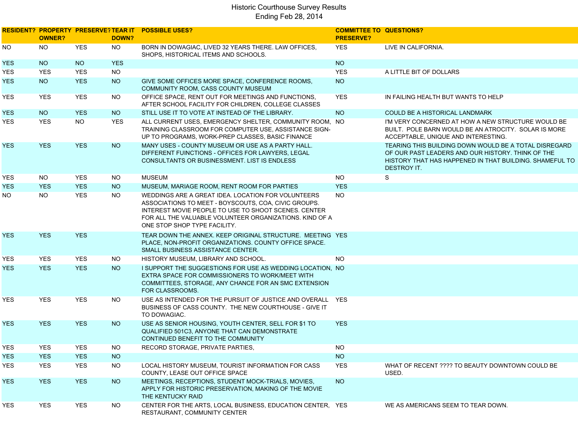|            | <b>OWNER?</b> |            | DOWN?      | <b>RESIDENT? PROPERTY PRESERVE? TEAR IT POSSIBLE USES?</b>                                                                                                                                                                                                    | <b>COMMITTEE TO QUESTIONS?</b><br><b>PRESERVE?</b> |                                                                                                                                                                                             |
|------------|---------------|------------|------------|---------------------------------------------------------------------------------------------------------------------------------------------------------------------------------------------------------------------------------------------------------------|----------------------------------------------------|---------------------------------------------------------------------------------------------------------------------------------------------------------------------------------------------|
| NO.        | <b>NO</b>     | <b>YES</b> | <b>NO</b>  | BORN IN DOWAGIAC. LIVED 32 YEARS THERE. LAW OFFICES.<br>SHOPS, HISTORICAL ITEMS AND SCHOOLS.                                                                                                                                                                  | <b>YES</b>                                         | LIVE IN CALIFORNIA.                                                                                                                                                                         |
| YES.       | <b>NO</b>     | <b>NO</b>  | <b>YES</b> |                                                                                                                                                                                                                                                               | <b>NO</b>                                          |                                                                                                                                                                                             |
| YES.       | <b>YES</b>    | <b>YES</b> | <b>NO</b>  |                                                                                                                                                                                                                                                               | <b>YES</b>                                         | A LITTLE BIT OF DOLLARS                                                                                                                                                                     |
| YES.       | <b>NO</b>     | <b>YES</b> | <b>NO</b>  | GIVE SOME OFFICES MORE SPACE, CONFERENCE ROOMS,<br>COMMUNITY ROOM, CASS COUNTY MUSEUM                                                                                                                                                                         | <b>NO</b>                                          |                                                                                                                                                                                             |
| YES.       | <b>YES</b>    | <b>YES</b> | NO.        | OFFICE SPACE, RENT OUT FOR MEETINGS AND FUNCTIONS.<br>AFTER SCHOOL FACILITY FOR CHILDREN, COLLEGE CLASSES                                                                                                                                                     | <b>YES</b>                                         | IN FAILING HEALTH BUT WANTS TO HELP                                                                                                                                                         |
| <b>YES</b> | <b>NO</b>     | <b>YES</b> | <b>NO</b>  | STILL USE IT TO VOTE AT INSTEAD OF THE LIBRARY.                                                                                                                                                                                                               | <b>NO</b>                                          | <b>COULD BE A HISTORICAL LANDMARK</b>                                                                                                                                                       |
| YES.       | <b>YES</b>    | <b>NO</b>  | <b>YES</b> | ALL CURRENT USES, EMERGENCY SHELTER, COMMUNITY ROOM, NO<br>TRAINING CLASSROOM FOR COMPUTER USE, ASSISTANCE SIGN-<br>UP TO PROGRAMS, WORK-PREP CLASSES, BASIC FINANCE                                                                                          |                                                    | I'M VERY CONCERNED AT HOW A NEW STRUCTURE WOULD BE<br>BUILT. POLE BARN WOULD BE AN ATROCITY. SOLAR IS MORE<br>ACCEPTABLE, UNIQUE AND INTERESTING.                                           |
| <b>YES</b> | <b>YES</b>    | <b>YES</b> | <b>NO</b>  | MANY USES - COUNTY MUSEUM OR USE AS A PARTY HALL.<br>DIFFERENT FUINCTIONS - OFFICES FOR LAWYERS, LEGAL<br>CONSULTANTS OR BUSINESSMENT. LIST IS ENDLESS                                                                                                        |                                                    | TEARING THIS BUILDING DOWN WOULD BE A TOTAL DISREGARD<br>OF OUR PAST LEADERS AND OUR HISTORY. THINK OF THE<br>HISTORY THAT HAS HAPPENED IN THAT BUILDING. SHAMEFUL TO<br><b>DESTROY IT.</b> |
| YES.       | <b>NO</b>     | <b>YES</b> | <b>NO</b>  | <b>MUSEUM</b>                                                                                                                                                                                                                                                 | <b>NO</b>                                          | S                                                                                                                                                                                           |
| YES.       | <b>YES</b>    | <b>YES</b> | NO         | MUSEUM, MARIAGE ROOM, RENT ROOM FOR PARTIES                                                                                                                                                                                                                   | <b>YES</b>                                         |                                                                                                                                                                                             |
| NO.        | NO.           | <b>YES</b> | <b>NO</b>  | WEDDINGS ARE A GREAT IDEA. LOCATION FOR VOLUNTEERS<br>ASSOCIATIONS TO MEET - BOYSCOUTS, COA, CIVIC GROUPS.<br>INTEREST MOVIE PEOPLE TO USE TO SHOOT SCENES. CENTER<br>FOR ALL THE VALUABLE VOLUNTEER ORGANIZATIONS. KIND OF A<br>ONE STOP SHOP TYPE FACILITY. | <b>NO</b>                                          |                                                                                                                                                                                             |
| YES.       | <b>YES</b>    | <b>YES</b> |            | TEAR DOWN THE ANNEX. KEEP ORIGINAL STRUCTURE. MEETING YES<br>PLACE, NON-PROFIT ORGANIZATIONS. COUNTY OFFICE SPACE.<br>SMALL BUSINESS ASSISTANCE CENTER.                                                                                                       |                                                    |                                                                                                                                                                                             |
| <b>YES</b> | <b>YES</b>    | <b>YES</b> | NO.        | HISTORY MUSEUM, LIBRARY AND SCHOOL.                                                                                                                                                                                                                           | <b>NO</b>                                          |                                                                                                                                                                                             |
| <b>YES</b> | <b>YES</b>    | <b>YES</b> | <b>NO</b>  | I SUPPORT THE SUGGESTIONS FOR USE AS WEDDING LOCATION, NO<br>EXTRA SPACE FOR COMMISSIONERS TO WORK/MEET WITH<br>COMMITTEES, STORAGE, ANY CHANCE FOR AN SMC EXTENSION<br>FOR CLASSROOMS.                                                                       |                                                    |                                                                                                                                                                                             |
| YES        | <b>YES</b>    | <b>YES</b> | <b>NO</b>  | USE AS INTENDED FOR THE PURSUIT OF JUSTICE AND OVERALL YES<br>BUSINESS OF CASS COUNTY. THE NEW COURTHOUSE - GIVE IT<br>TO DOWAGIAC.                                                                                                                           |                                                    |                                                                                                                                                                                             |
| YES.       | <b>YES</b>    | <b>YES</b> | <b>NO</b>  | USE AS SENIOR HOUSING, YOUTH CENTER, SELL FOR \$1 TO<br>QUALIFIED 501C3, ANYONE THAT CAN DEMONSTRATE<br>CONTINUED BENEFIT TO THE COMMUNITY                                                                                                                    | <b>YES</b>                                         |                                                                                                                                                                                             |
| YES.       | <b>YES</b>    | YES.       | NO.        | RECORD STORAGE, PRIVATE PARTIES,                                                                                                                                                                                                                              | <b>NO</b>                                          |                                                                                                                                                                                             |
| <b>YES</b> | <b>YES</b>    | <b>YES</b> | <b>NO</b>  |                                                                                                                                                                                                                                                               | <b>NO</b>                                          |                                                                                                                                                                                             |
| YES        | <b>YES</b>    | <b>YES</b> | <b>NO</b>  | LOCAL HISTORY MUSEUM, TOURIST INFORMATION FOR CASS<br>COUNTY, LEASE OUT OFFICE SPACE                                                                                                                                                                          | <b>YES</b>                                         | WHAT OF RECENT ???? TO BEAUTY DOWNTOWN COULD BE<br>USED.                                                                                                                                    |
| YES.       | <b>YES</b>    | <b>YES</b> | <b>NO</b>  | MEETINGS, RECEPTIONS, STUDENT MOCK-TRIALS, MOVIES,<br>APPLY FOR HISTORIC PRESERVATION, MAKING OF THE MOVIE<br>THE KENTUCKY RAID                                                                                                                               | <b>NO</b>                                          |                                                                                                                                                                                             |
| <b>YES</b> | <b>YES</b>    | YES        | <b>NO</b>  | CENTER FOR THE ARTS, LOCAL BUSINESS, EDUCATION CENTER, YES<br>RESTAURANT, COMMUNITY CENTER                                                                                                                                                                    |                                                    | WE AS AMERICANS SEEM TO TEAR DOWN.                                                                                                                                                          |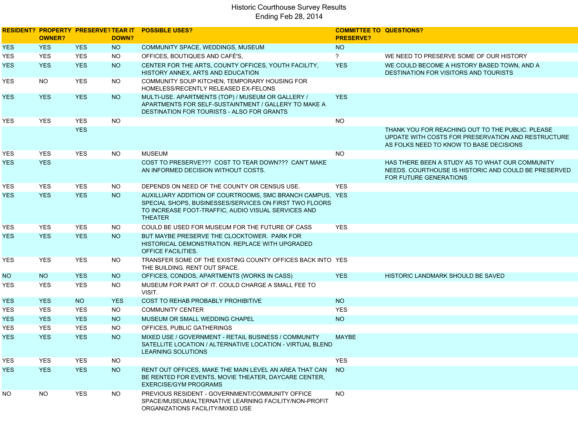|            | <b>OWNER?</b> |            | DOWN?      | <b>RESIDENT? PROPERTY PRESERVE? TEAR IT POSSIBLE USES?</b>                                                                                                                                   | <b>COMMITTEE TO QUESTIONS?</b><br><b>PRESERVE?</b> |                                                                                                                                                   |
|------------|---------------|------------|------------|----------------------------------------------------------------------------------------------------------------------------------------------------------------------------------------------|----------------------------------------------------|---------------------------------------------------------------------------------------------------------------------------------------------------|
| <b>YES</b> | <b>YES</b>    | <b>YES</b> | <b>NO</b>  | COMMUNITY SPACE, WEDDINGS, MUSEUM                                                                                                                                                            | <b>NO</b>                                          |                                                                                                                                                   |
| YES        | <b>YES</b>    | <b>YES</b> | <b>NO</b>  | OFFICES, BOUTIQUES AND CAFÉ'S,                                                                                                                                                               | $\overline{?}$                                     | WE NEED TO PRESERVE SOME OF OUR HISTORY                                                                                                           |
| <b>YES</b> | <b>YES</b>    | <b>YES</b> | <b>NO</b>  | CENTER FOR THE ARTS, COUNTY OFFICES, YOUTH FACILITY,<br>HISTORY ANNEX, ARTS AND EDUCATION                                                                                                    | <b>YES</b>                                         | WE COULD BECOME A HISTORY BASED TOWN, AND A<br><b>DESTINATION FOR VISITORS AND TOURISTS</b>                                                       |
| YES        | NO.           | <b>YES</b> | <b>NO</b>  | COMMUNITY SOUP KITCHEN, TEMPORARY HOUSING FOR<br>HOMELESS/RECENTLY RELEASED EX-FELONS                                                                                                        |                                                    |                                                                                                                                                   |
| YES.       | <b>YES</b>    | <b>YES</b> | <b>NO</b>  | MULTI-USE. APARTMENTS (TOP) / MUSEUM OR GALLERY /<br>APARTMENTS FOR SELF-SUSTAINTMENT / GALLERY TO MAKE A<br><b>DESTINATION FOR TOURISTS - ALSO FOR GRANTS</b>                               | <b>YES</b>                                         |                                                                                                                                                   |
| YES.       | <b>YES</b>    | <b>YES</b> | <b>NO</b>  |                                                                                                                                                                                              | <b>NO</b>                                          |                                                                                                                                                   |
|            |               | <b>YES</b> |            |                                                                                                                                                                                              |                                                    | THANK YOU FOR REACHING OUT TO THE PUBLIC. PLEASE<br>UPDATE WITH COSTS FOR PRESERVATION AND RESTRUCTURE<br>AS FOLKS NEED TO KNOW TO BASE DECISIONS |
| YES        | <b>YES</b>    | <b>YES</b> | <b>NO</b>  | <b>MUSEUM</b>                                                                                                                                                                                | <b>NO</b>                                          |                                                                                                                                                   |
| YES.       | <b>YES</b>    |            |            | COST TO PRESERVE??? COST TO TEAR DOWN??? CAN'T MAKE<br>AN INFORMED DECISION WITHOUT COSTS.                                                                                                   |                                                    | HAS THERE BEEN A STUDY AS TO WHAT OUR COMMUNITY<br>NEEDS. COURTHOUSE IS HISTORIC AND COULD BE PRESERVED<br>FOR FUTURE GENERATIONS                 |
| YES.       | <b>YES</b>    | <b>YES</b> | <b>NO</b>  | DEPENDS ON NEED OF THE COUNTY OR CENSUS USE.                                                                                                                                                 | <b>YES</b>                                         |                                                                                                                                                   |
| YES.       | <b>YES</b>    | <b>YES</b> | <b>NO</b>  | AUXILLIARY ADDITION OF COURTROOMS, SMC BRANCH CAMPUS, YES<br>SPECIAL SHOPS. BUSINESSES/SERVICES ON FIRST TWO FLOORS<br>TO INCREASE FOOT-TRAFFIC, AUDIO VISUAL SERVICES AND<br><b>THEATER</b> |                                                    |                                                                                                                                                   |
| YES        | YES           | <b>YES</b> | <b>NO</b>  | COULD BE USED FOR MUSEUM FOR THE FUTURE OF CASS                                                                                                                                              | <b>YES</b>                                         |                                                                                                                                                   |
| YES.       | <b>YES</b>    | <b>YES</b> | <b>NO</b>  | BUT MAYBE PRESERVE THE CLOCKTOWER. PARK FOR<br>HISTORICAL DEMONSTRATION. REPLACE WITH UPGRADED<br>OFFICE FACILITIES.                                                                         |                                                    |                                                                                                                                                   |
| YES        | <b>YES</b>    | <b>YES</b> | NO.        | TRANSFER SOME OF THE EXISTING COUNTY OFFICES BACK INTO YES<br>THE BUILDING. RENT OUT SPACE.                                                                                                  |                                                    |                                                                                                                                                   |
| NO.        | <b>NO</b>     | <b>YES</b> | <b>NO</b>  | OFFICES, CONDOS, APARTMENTS (WORKS IN CASS)                                                                                                                                                  | <b>YES</b>                                         | HISTORIC LANDMARK SHOULD BE SAVED                                                                                                                 |
| YES        | <b>YES</b>    | <b>YES</b> | <b>NO</b>  | MUSEUM FOR PART OF IT. COULD CHARGE A SMALL FEE TO<br>VISIT.                                                                                                                                 |                                                    |                                                                                                                                                   |
| <b>YES</b> | <b>YES</b>    | <b>NO</b>  | <b>YES</b> | COST TO REHAB PROBABLY PROHIBITIVE                                                                                                                                                           | <b>NO</b>                                          |                                                                                                                                                   |
| YES        | <b>YES</b>    | <b>YES</b> | <b>NO</b>  | <b>COMMUNITY CENTER</b>                                                                                                                                                                      | <b>YES</b>                                         |                                                                                                                                                   |
| YES.       | <b>YES</b>    | <b>YES</b> | <b>NO</b>  | MUSEUM OR SMALL WEDDING CHAPEL                                                                                                                                                               | <b>NO</b>                                          |                                                                                                                                                   |
| YES        | <b>YES</b>    | <b>YES</b> | <b>NO</b>  | OFFICES, PUBLIC GATHERINGS                                                                                                                                                                   |                                                    |                                                                                                                                                   |
| <b>YES</b> | <b>YES</b>    | <b>YES</b> | <b>NO</b>  | MIXED USE / GOVERNMENT - RETAIL BUSINESS / COMMUNITY<br>SATELLITE LOCATION / ALTERNATIVE LOCATION - VIRTUAL BLEND<br>LEARNING SOLUTIONS                                                      | <b>MAYBE</b>                                       |                                                                                                                                                   |
| YES        | YES           | <b>YES</b> | <b>NO</b>  |                                                                                                                                                                                              | <b>YES</b>                                         |                                                                                                                                                   |
| <b>YES</b> | <b>YES</b>    | <b>YES</b> | NO         | RENT OUT OFFICES, MAKE THE MAIN LEVEL AN AREA THAT CAN<br>BE RENTED FOR EVENTS, MOVIE THEATER, DAYCARE CENTER,<br><b>EXERCISE/GYM PROGRAMS</b>                                               | <b>NO</b>                                          |                                                                                                                                                   |
| NO.        | <b>NO</b>     | YES        | <b>NO</b>  | PREVIOUS RESIDENT - GOVERNMENT/COMMUNITY OFFICE<br>SPACE/MUSEUM/ALTERNATIVE LEARNING FACILITY/NON-PROFIT<br>ORGANIZATIONS FACILITY/MIXED USE                                                 | <b>NO</b>                                          |                                                                                                                                                   |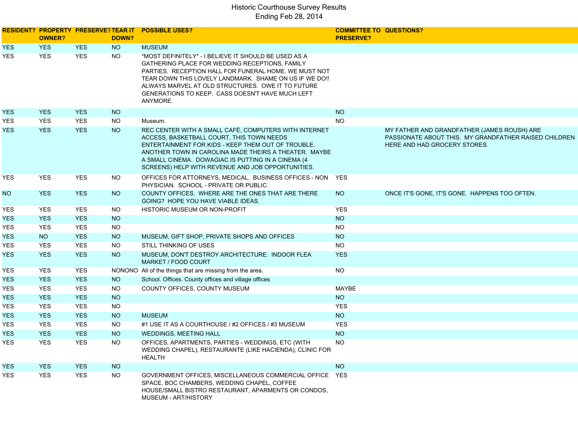|            | <b>OWNER?</b> |            | DOWN?     | <b>RESIDENT? PROPERTY PRESERVE? TEAR IT POSSIBLE USES?</b>                                                                                                                                                                                                                                                                                     | <b>COMMITTEE TO QUESTIONS?</b><br><b>PRESERVE?</b> |                                                                                                                                      |
|------------|---------------|------------|-----------|------------------------------------------------------------------------------------------------------------------------------------------------------------------------------------------------------------------------------------------------------------------------------------------------------------------------------------------------|----------------------------------------------------|--------------------------------------------------------------------------------------------------------------------------------------|
| <b>YES</b> | <b>YES</b>    | <b>YES</b> | <b>NO</b> | <b>MUSEUM</b>                                                                                                                                                                                                                                                                                                                                  |                                                    |                                                                                                                                      |
| <b>YES</b> | <b>YES</b>    | <b>YES</b> | <b>NO</b> | *MOST DEFINITELY* - I BELIEVE IT SHOULD BE USED AS A<br>GATHERING PLACE FOR WEDDING RECEPTIONS. FAMILY<br>PARTIES. RECEPTION HALL FOR FUNERAL HOME. WE MUST NOT<br>TEAR DOWN THIS LOVELY LANDMARK. SHAME ON US IF WE DO!!<br>ALWAYS MARVEL AT OLD STRUCTURES. OWE IT TO FUTURE<br>GENERATIONS TO KEEP. CASS DOESN'T HAVE MUCH LEFT<br>ANYMORE. |                                                    |                                                                                                                                      |
| YES        | <b>YES</b>    | <b>YES</b> | <b>NO</b> |                                                                                                                                                                                                                                                                                                                                                | <b>NO</b>                                          |                                                                                                                                      |
| YES.       | <b>YES</b>    | <b>YES</b> | <b>NO</b> | Museum.                                                                                                                                                                                                                                                                                                                                        | <b>NO</b>                                          |                                                                                                                                      |
| YES.       | <b>YES</b>    | <b>YES</b> | <b>NO</b> | REC CENTER WITH A SMALL CAFÉ, COMPUTERS WITH INTERNET<br>ACCESS, BASKETBALL COURT, THIS TOWN NEEDS<br>ENTERTAINMENT FOR KIDS - KEEP THEM OUT OF TROUBLE.<br>ANOTHER TOWN IN CAROLINA MADE THEIRS A THEATER. MAYBE<br>A SMALL CINEMA. DOWAGIAC IS PUTTING IN A CINEMA (4)<br>SCREENS) HELP WITH REVENUE AND JOB OPPORTUNITIES.                  |                                                    | MY FATHER AND GRANDFATHER (JAMES ROUSH) ARE<br>PASSIONATE ABOUT THIS. MY GRANDFATHER RAISED CHILDREN<br>HERE AND HAD GROCERY STORES. |
| YES        | <b>YES</b>    | <b>YES</b> | NO.       | OFFICES FOR ATTORNEYS, MEDICAL. BUSINESS OFFICES - NON YES<br>PHYSICIAN. SCHOOL - PRIVATE OR PUBLIC.                                                                                                                                                                                                                                           |                                                    |                                                                                                                                      |
| NO.        | <b>YES</b>    | <b>YES</b> | <b>NO</b> | COUNTY OFFICES. WHERE ARE THE ONES THAT ARE THERE<br>GOING? HOPE YOU HAVE VIABLE IDEAS.                                                                                                                                                                                                                                                        | <b>NO</b>                                          | ONCE IT'S GONE, IT'S GONE. HAPPENS TOO OFTEN.                                                                                        |
| YES        | <b>YES</b>    | <b>YES</b> | <b>NO</b> | HISTORIC MUSEUM OR NON-PROFIT                                                                                                                                                                                                                                                                                                                  | <b>YES</b>                                         |                                                                                                                                      |
| YES        | <b>YES</b>    | <b>YES</b> | <b>NO</b> |                                                                                                                                                                                                                                                                                                                                                | <b>NO</b>                                          |                                                                                                                                      |
| YES        | <b>YES</b>    | <b>YES</b> | <b>NO</b> |                                                                                                                                                                                                                                                                                                                                                | <b>NO</b>                                          |                                                                                                                                      |
| <b>YES</b> | <b>NO</b>     | <b>YES</b> | <b>NO</b> | MUSEUM, GIFT SHOP, PRIVATE SHOPS AND OFFICES                                                                                                                                                                                                                                                                                                   | <b>NO</b>                                          |                                                                                                                                      |
| YES        | <b>YES</b>    | <b>YES</b> | <b>NO</b> | STILL THINKING OF USES                                                                                                                                                                                                                                                                                                                         | <b>NO</b>                                          |                                                                                                                                      |
| <b>YES</b> | <b>YES</b>    | <b>YES</b> | <b>NO</b> | MUSEUM, DON'T DESTROY ARCHITECTURE. INDOOR FLEA<br>MARKET / FOOD COURT                                                                                                                                                                                                                                                                         | <b>YES</b>                                         |                                                                                                                                      |
| YES        | <b>YES</b>    | <b>YES</b> |           | NONONO All of the things that are missing from the area.                                                                                                                                                                                                                                                                                       | <b>NO</b>                                          |                                                                                                                                      |
| <b>YES</b> | <b>YES</b>    | <b>YES</b> | <b>NO</b> | School. Offices. County offices and village offices                                                                                                                                                                                                                                                                                            |                                                    |                                                                                                                                      |
| <b>YES</b> | <b>YES</b>    | <b>YES</b> | <b>NO</b> | COUNTY OFFICES, COUNTY MUSEUM                                                                                                                                                                                                                                                                                                                  | MAYBE                                              |                                                                                                                                      |
| <b>YES</b> | <b>YES</b>    | <b>YES</b> | <b>NO</b> |                                                                                                                                                                                                                                                                                                                                                | <b>NO</b>                                          |                                                                                                                                      |
| YES        | <b>YES</b>    | <b>YES</b> | <b>NO</b> |                                                                                                                                                                                                                                                                                                                                                | <b>YES</b>                                         |                                                                                                                                      |
| <b>YES</b> | <b>YES</b>    | <b>YES</b> | <b>NO</b> | <b>MUSEUM</b>                                                                                                                                                                                                                                                                                                                                  | <b>NO</b>                                          |                                                                                                                                      |
| <b>YES</b> | <b>YES</b>    | <b>YES</b> | NO.       | #1 USE IT AS A COURTHOUSE / #2 OFFICES / #3 MUSEUM                                                                                                                                                                                                                                                                                             | <b>YES</b>                                         |                                                                                                                                      |
| <b>YES</b> | <b>YES</b>    | <b>YES</b> | <b>NO</b> | <b>WEDDINGS, MEETING HALL</b>                                                                                                                                                                                                                                                                                                                  | <b>NO</b>                                          |                                                                                                                                      |
| YES        | <b>YES</b>    | <b>YES</b> | NO        | OFFICES, APARTMENTS, PARTIES - WEDDINGS, ETC (WITH<br>WEDDING CHAPEL), RESTAURANTE (LIKE HACIENDA), CLINIC FOR<br><b>HEALTH</b>                                                                                                                                                                                                                | <b>NO</b>                                          |                                                                                                                                      |
| YES        | <b>YES</b>    | <b>YES</b> | <b>NO</b> |                                                                                                                                                                                                                                                                                                                                                | <b>NO</b>                                          |                                                                                                                                      |
| YES        | <b>YES</b>    | <b>YES</b> | <b>NO</b> | GOVERNMENT OFFICES, MISCELLANEOUS COMMERCIAL OFFICE YES<br>SPACE, BOC CHAMBERS, WEDDING CHAPEL, COFFEE<br>HOUSE/SMALL BISTRO RESTAURANT, APARMENTS OR CONDOS,<br>MUSEUM - ART/HISTORY                                                                                                                                                          |                                                    |                                                                                                                                      |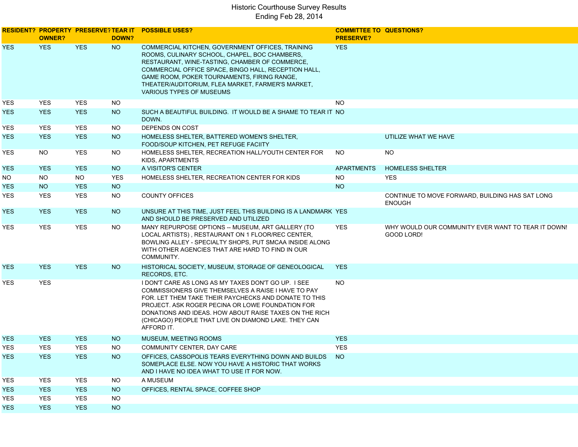|            | <b>OWNER?</b> |            | DOWN?      | <b>RESIDENT? PROPERTY PRESERVE? TEAR IT POSSIBLE USES?</b>                                                                                                                                                                                                                                                                                                     | <b>COMMITTEE TO QUESTIONS?</b><br><b>PRESERVE?</b> |                                                                  |
|------------|---------------|------------|------------|----------------------------------------------------------------------------------------------------------------------------------------------------------------------------------------------------------------------------------------------------------------------------------------------------------------------------------------------------------------|----------------------------------------------------|------------------------------------------------------------------|
| <b>YES</b> | <b>YES</b>    | <b>YES</b> | NO         | COMMERCIAL KITCHEN, GOVERNMENT OFFICES, TRAINING<br>ROOMS, CULINARY SCHOOL, CHAPEL, BOC CHAMBERS,<br>RESTAURANT, WINE-TASTING, CHAMBER OF COMMERCE,<br>COMMERCIAL OFFICE SPACE, BINGO HALL, RECEPTION HALL,<br>GAME ROOM, POKER TOURNAMENTS, FIRING RANGE,<br>THEATER/AUDITORIUM, FLEA MARKET, FARMER'S MARKET,<br>VARIOUS TYPES OF MUSEUMS                    | <b>YES</b>                                         |                                                                  |
| YES.       | <b>YES</b>    | <b>YES</b> | <b>NO</b>  |                                                                                                                                                                                                                                                                                                                                                                | <b>NO</b>                                          |                                                                  |
| YES.       | <b>YES</b>    | <b>YES</b> | NO.        | SUCH A BEAUTIFUL BUILDING. IT WOULD BE A SHAME TO TEAR IT NO<br>DOWN.                                                                                                                                                                                                                                                                                          |                                                    |                                                                  |
| YES.       | <b>YES</b>    | <b>YES</b> | NO.        | DEPENDS ON COST                                                                                                                                                                                                                                                                                                                                                |                                                    |                                                                  |
| YES.       | <b>YES</b>    | <b>YES</b> | <b>NO</b>  | HOMELESS SHELTER, BATTERED WOMEN'S SHELTER,<br>FOOD/SOUP KITCHEN, PET REFUGE FACIITY                                                                                                                                                                                                                                                                           |                                                    | UTILIZE WHAT WE HAVE                                             |
| YES        | <b>NO</b>     | <b>YES</b> | <b>NO</b>  | HOMELESS SHELTER, RECREATION HALL/YOUTH CENTER FOR<br>KIDS, APARTMENTS                                                                                                                                                                                                                                                                                         | <b>NO</b>                                          | <b>NO</b>                                                        |
| YES.       | <b>YES</b>    | <b>YES</b> | <b>NO</b>  | A VISITOR'S CENTER                                                                                                                                                                                                                                                                                                                                             | <b>APARTMENTS</b>                                  | <b>HOMELESS SHELTER</b>                                          |
| NO.        | NO.           | <b>NO</b>  | <b>YES</b> | HOMELESS SHELTER. RECREATION CENTER FOR KIDS                                                                                                                                                                                                                                                                                                                   | <b>NO</b>                                          | <b>YES</b>                                                       |
| YES.       | <b>NO</b>     | <b>YES</b> | <b>NO</b>  |                                                                                                                                                                                                                                                                                                                                                                | <b>NO</b>                                          |                                                                  |
| YES        | <b>YES</b>    | <b>YES</b> | <b>NO</b>  | <b>COUNTY OFFICES</b>                                                                                                                                                                                                                                                                                                                                          |                                                    | CONTINUE TO MOVE FORWARD, BUILDING HAS SAT LONG<br><b>ENOUGH</b> |
| YES.       | <b>YES</b>    | <b>YES</b> | <b>NO</b>  | UNSURE AT THIS TIME, JUST FEEL THIS BUILDING IS A LANDMARK YES<br>AND SHOULD BE PRESERVED AND UTILIZED                                                                                                                                                                                                                                                         |                                                    |                                                                  |
| <b>YES</b> | YES           | <b>YES</b> | <b>NO</b>  | MANY REPURPOSE OPTIONS -- MUSEUM, ART GALLERY (TO<br>LOCAL ARTISTS), RESTAURANT ON 1 FLOOR/REC CENTER,<br>BOWLING ALLEY - SPECIALTY SHOPS, PUT SMCAA INSIDE ALONG<br>WITH OTHER AGENCIES THAT ARE HARD TO FIND IN OUR<br>COMMUNITY.                                                                                                                            | <b>YES</b>                                         | WHY WOULD OUR COMMUNITY EVER WANT TO TEAR IT DOWN!<br>GOOD LORD! |
| YES.       | <b>YES</b>    | <b>YES</b> | <b>NO</b>  | HISTORICAL SOCIETY, MUSEUM, STORAGE OF GENEOLOGICAL<br>RECORDS, ETC.                                                                                                                                                                                                                                                                                           | <b>YES</b>                                         |                                                                  |
| YES        | <b>YES</b>    |            |            | I DON'T CARE AS LONG AS MY TAXES DON'T GO UP. I SEE<br><b>COMMISSIONERS GIVE THEMSELVES A RAISE I HAVE TO PAY</b><br>FOR. LET THEM TAKE THEIR PAYCHECKS AND DONATE TO THIS<br>PROJECT. ASK ROGER PECINA OR LOWE FOUNDATION FOR<br>DONATIONS AND IDEAS. HOW ABOUT RAISE TAXES ON THE RICH<br>(CHICAGO) PEOPLE THAT LIVE ON DIAMOND LAKE. THEY CAN<br>AFFORD IT. | <b>NO</b>                                          |                                                                  |
| YES.       | <b>YES</b>    | <b>YES</b> | NO.        | MUSEUM, MEETING ROOMS                                                                                                                                                                                                                                                                                                                                          | <b>YES</b>                                         |                                                                  |
| <b>YES</b> | <b>YES</b>    | <b>YES</b> | NO.        | COMMUNITY CENTER, DAY CARE                                                                                                                                                                                                                                                                                                                                     | <b>YES</b>                                         |                                                                  |
| <b>YES</b> | <b>YES</b>    | <b>YES</b> | <b>NO</b>  | OFFICES, CASSOPOLIS TEARS EVERYTHING DOWN AND BUILDS<br>SOMEPLACE ELSE. NOW YOU HAVE A HISTORIC THAT WORKS<br>AND I HAVE NO IDEA WHAT TO USE IT FOR NOW.                                                                                                                                                                                                       | - NO                                               |                                                                  |
| YES        | YES           | <b>YES</b> | <b>NO</b>  | A MUSEUM                                                                                                                                                                                                                                                                                                                                                       |                                                    |                                                                  |
| YES.       | <b>YES</b>    | <b>YES</b> | <b>NO</b>  | OFFICES, RENTAL SPACE, COFFEE SHOP                                                                                                                                                                                                                                                                                                                             |                                                    |                                                                  |
| YES        | <b>YES</b>    | <b>YES</b> | <b>NO</b>  |                                                                                                                                                                                                                                                                                                                                                                |                                                    |                                                                  |
| YES.       | <b>YES</b>    | <b>YES</b> | <b>NO</b>  |                                                                                                                                                                                                                                                                                                                                                                |                                                    |                                                                  |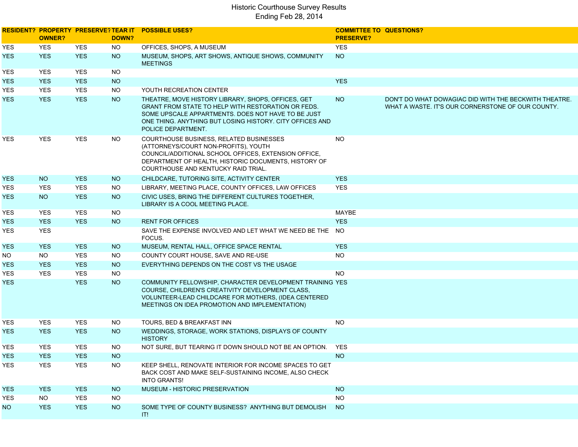|            | <b>OWNER?</b> |            | DOWN?     | <b>RESIDENT? PROPERTY PRESERVE?TEAR IT POSSIBLE USES?</b>                                                                                                                                                                                        | <b>COMMITTEE TO QUESTIONS?</b><br><b>PRESERVE?</b> |                                                                                                            |
|------------|---------------|------------|-----------|--------------------------------------------------------------------------------------------------------------------------------------------------------------------------------------------------------------------------------------------------|----------------------------------------------------|------------------------------------------------------------------------------------------------------------|
| YES        | <b>YES</b>    | <b>YES</b> | <b>NO</b> | OFFICES, SHOPS, A MUSEUM                                                                                                                                                                                                                         | <b>YES</b>                                         |                                                                                                            |
| <b>YES</b> | <b>YES</b>    | <b>YES</b> | <b>NO</b> | MUSEUM, SHOPS, ART SHOWS, ANTIQUE SHOWS, COMMUNITY<br><b>MEETINGS</b>                                                                                                                                                                            | <b>NO</b>                                          |                                                                                                            |
| YES        | YES           | <b>YES</b> | <b>NO</b> |                                                                                                                                                                                                                                                  |                                                    |                                                                                                            |
| YES.       | <b>YES</b>    | <b>YES</b> | NO        |                                                                                                                                                                                                                                                  | <b>YES</b>                                         |                                                                                                            |
| <b>YES</b> | <b>YES</b>    | <b>YES</b> | <b>NO</b> | YOUTH RECREATION CENTER                                                                                                                                                                                                                          |                                                    |                                                                                                            |
| YES.       | <b>YES</b>    | <b>YES</b> | <b>NO</b> | THEATRE, MOVE HISTORY LIBRARY, SHOPS, OFFICES, GET<br>GRANT FROM STATE TO HELP WITH RESTORATION OR FEDS.<br>SOME UPSCALE APPARTMENTS. DOES NOT HAVE TO BE JUST<br>ONE THING. ANYTHING BUT LOSING HISTORY. CITY OFFICES AND<br>POLICE DEPARTMENT. | <b>NO</b>                                          | DON'T DO WHAT DOWAGIAC DID WITH THE BECKWITH THEATRE.<br>WHAT A WASTE. IT'S OUR CORNERSTONE OF OUR COUNTY. |
| YES        | <b>YES</b>    | <b>YES</b> | <b>NO</b> | COURTHOUSE BUSINESS, RELATED BUSINESSES<br>(ATTORNEYS/COURT NON-PROFITS), YOUTH<br>COUNCIL/ADDITIONAL SCHOOL OFFICES, EXTENSION OFFICE,<br>DEPARTMENT OF HEALTH, HISTORIC DOCUMENTS, HISTORY OF<br>COURTHOUSE AND KENTUCKY RAID TRIAL.           | NO.                                                |                                                                                                            |
| YES.       | NO.           | <b>YES</b> | <b>NO</b> | CHILDCARE, TUTORING SITE, ACTIVITY CENTER                                                                                                                                                                                                        | <b>YES</b>                                         |                                                                                                            |
| <b>YES</b> | <b>YES</b>    | <b>YES</b> | <b>NO</b> | LIBRARY, MEETING PLACE, COUNTY OFFICES, LAW OFFICES                                                                                                                                                                                              | <b>YES</b>                                         |                                                                                                            |
| <b>YES</b> | <b>NO</b>     | <b>YES</b> | <b>NO</b> | CIVIC USES, BRING THE DIFFERENT CULTURES TOGETHER,<br>LIBRARY IS A COOL MEETING PLACE.                                                                                                                                                           |                                                    |                                                                                                            |
| YES        | <b>YES</b>    | <b>YES</b> | <b>NO</b> |                                                                                                                                                                                                                                                  | MAYBE                                              |                                                                                                            |
| YES.       | <b>YES</b>    | <b>YES</b> | <b>NO</b> | <b>RENT FOR OFFICES</b>                                                                                                                                                                                                                          | <b>YES</b>                                         |                                                                                                            |
| YES        | <b>YES</b>    |            |           | SAVE THE EXPENSE INVOLVED AND LET WHAT WE NEED BE THE NO<br>FOCUS.                                                                                                                                                                               |                                                    |                                                                                                            |
| <b>YES</b> | <b>YES</b>    | <b>YES</b> | <b>NO</b> | MUSEUM, RENTAL HALL, OFFICE SPACE RENTAL                                                                                                                                                                                                         | <b>YES</b>                                         |                                                                                                            |
| NO.        | NO.           | <b>YES</b> | NO.       | COUNTY COURT HOUSE, SAVE AND RE-USE                                                                                                                                                                                                              | <b>NO</b>                                          |                                                                                                            |
| <b>YES</b> | <b>YES</b>    | <b>YES</b> | <b>NO</b> | EVERYTHING DEPENDS ON THE COST VS THE USAGE                                                                                                                                                                                                      |                                                    |                                                                                                            |
| YES        | <b>YES</b>    | <b>YES</b> | <b>NO</b> |                                                                                                                                                                                                                                                  | <b>NO</b>                                          |                                                                                                            |
| YES.       |               | <b>YES</b> | <b>NO</b> | COMMUNITY FELLOWSHIP, CHARACTER DEVELOPMENT TRAINING YES<br>COURSE, CHILDREN'S CREATIVITY DEVELOPMENT CLASS,<br>VOLUNTEER-LEAD CHILDCARE FOR MOTHERS, (IDEA CENTERED<br>MEETINGS ON IDEA PROMOTION AND IMPLEMENTATION)                           |                                                    |                                                                                                            |
| YES        | YES           | <b>YES</b> | <b>NO</b> | TOURS, BED & BREAKFAST INN                                                                                                                                                                                                                       | <b>NO</b>                                          |                                                                                                            |
| <b>YES</b> | <b>YES</b>    | <b>YES</b> | <b>NO</b> | WEDDINGS, STORAGE, WORK STATIONS, DISPLAYS OF COUNTY<br><b>HISTORY</b>                                                                                                                                                                           |                                                    |                                                                                                            |
| YES.       | <b>YES</b>    | <b>YES</b> | NO.       | NOT SURE, BUT TEARING IT DOWN SHOULD NOT BE AN OPTION. YES                                                                                                                                                                                       |                                                    |                                                                                                            |
| <b>YES</b> | <b>YES</b>    | <b>YES</b> | <b>NO</b> |                                                                                                                                                                                                                                                  | <b>NO</b>                                          |                                                                                                            |
| YES        | <b>YES</b>    | <b>YES</b> | <b>NO</b> | KEEP SHELL, RENOVATE INTERIOR FOR INCOME SPACES TO GET<br>BACK COST AND MAKE SELF-SUSTAINING INCOME, ALSO CHECK<br><b>INTO GRANTS!</b>                                                                                                           |                                                    |                                                                                                            |
| <b>YES</b> | <b>YES</b>    | <b>YES</b> | <b>NO</b> | MUSEUM - HISTORIC PRESERVATION                                                                                                                                                                                                                   | <b>NO</b>                                          |                                                                                                            |
| YES        | <b>NO</b>     | <b>YES</b> | <b>NO</b> |                                                                                                                                                                                                                                                  | <b>NO</b>                                          |                                                                                                            |
| NO.        | <b>YES</b>    | <b>YES</b> | <b>NO</b> | SOME TYPE OF COUNTY BUSINESS? ANYTHING BUT DEMOLISH<br>IT!                                                                                                                                                                                       | NO <sub>1</sub>                                    |                                                                                                            |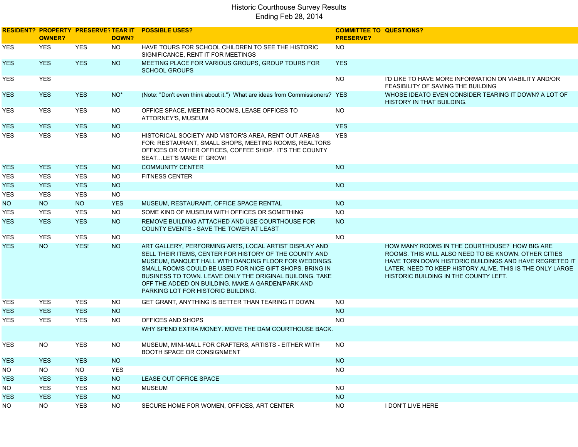|            | <b>OWNER?</b> |            | DOWN?      | RESIDENT? PROPERTY PRESERVE? TEAR IT POSSIBLE USES?                                                                                                                                                                                                                                                                                                                                         | <b>COMMITTEE TO QUESTIONS?</b><br><b>PRESERVE?</b> |                                                                                                                                                                                                                                                                       |
|------------|---------------|------------|------------|---------------------------------------------------------------------------------------------------------------------------------------------------------------------------------------------------------------------------------------------------------------------------------------------------------------------------------------------------------------------------------------------|----------------------------------------------------|-----------------------------------------------------------------------------------------------------------------------------------------------------------------------------------------------------------------------------------------------------------------------|
|            |               |            |            |                                                                                                                                                                                                                                                                                                                                                                                             |                                                    |                                                                                                                                                                                                                                                                       |
| YES        | <b>YES</b>    | <b>YES</b> | <b>NO</b>  | HAVE TOURS FOR SCHOOL CHILDREN TO SEE THE HISTORIC<br>SIGNIFICANCE, RENT IT FOR MEETINGS                                                                                                                                                                                                                                                                                                    | <b>NO</b>                                          |                                                                                                                                                                                                                                                                       |
| <b>YES</b> | <b>YES</b>    | <b>YES</b> | <b>NO</b>  | MEETING PLACE FOR VARIOUS GROUPS, GROUP TOURS FOR<br><b>SCHOOL GROUPS</b>                                                                                                                                                                                                                                                                                                                   | <b>YES</b>                                         |                                                                                                                                                                                                                                                                       |
| YES        | <b>YES</b>    |            |            |                                                                                                                                                                                                                                                                                                                                                                                             | <b>NO</b>                                          | I'D LIKE TO HAVE MORE INFORMATION ON VIABILITY AND/OR<br>FEASIBILITY OF SAVING THE BUILDING                                                                                                                                                                           |
| <b>YES</b> | <b>YES</b>    | <b>YES</b> | $NO*$      | (Note: "Don't even think about it.") What are ideas from Commissioners? YES                                                                                                                                                                                                                                                                                                                 |                                                    | WHOSE IDEATO EVEN CONSIDER TEARING IT DOWN? A LOT OF<br>HISTORY IN THAT BUILDING.                                                                                                                                                                                     |
| YES        | <b>YES</b>    | <b>YES</b> | <b>NO</b>  | OFFICE SPACE, MEETING ROOMS, LEASE OFFICES TO<br>ATTORNEY'S, MUSEUM                                                                                                                                                                                                                                                                                                                         | <b>NO</b>                                          |                                                                                                                                                                                                                                                                       |
| <b>YES</b> | <b>YES</b>    | <b>YES</b> | <b>NO</b>  |                                                                                                                                                                                                                                                                                                                                                                                             | <b>YES</b>                                         |                                                                                                                                                                                                                                                                       |
| YES        | <b>YES</b>    | <b>YES</b> | <b>NO</b>  | HISTORICAL SOCIETY AND VISTOR'S AREA, RENT OUT AREAS<br>FOR: RESTAURANT, SMALL SHOPS, MEETING ROOMS, REALTORS<br>OFFICES OR OTHER OFFICES, COFFEE SHOP. IT'S THE COUNTY<br>SEATLET'S MAKE IT GROW!                                                                                                                                                                                          | <b>YES</b>                                         |                                                                                                                                                                                                                                                                       |
| <b>YES</b> | <b>YES</b>    | <b>YES</b> | <b>NO</b>  | <b>COMMUNITY CENTER</b>                                                                                                                                                                                                                                                                                                                                                                     | <b>NO</b>                                          |                                                                                                                                                                                                                                                                       |
| YES        | <b>YES</b>    | <b>YES</b> | <b>NO</b>  | <b>FITNESS CENTER</b>                                                                                                                                                                                                                                                                                                                                                                       |                                                    |                                                                                                                                                                                                                                                                       |
| YES.       | <b>YES</b>    | <b>YES</b> | <b>NO</b>  |                                                                                                                                                                                                                                                                                                                                                                                             | <b>NO</b>                                          |                                                                                                                                                                                                                                                                       |
| YES        | <b>YES</b>    | <b>YES</b> | <b>NO</b>  |                                                                                                                                                                                                                                                                                                                                                                                             |                                                    |                                                                                                                                                                                                                                                                       |
| NO.        | <b>NO</b>     | <b>NO</b>  | <b>YES</b> | MUSEUM, RESTAURANT, OFFICE SPACE RENTAL                                                                                                                                                                                                                                                                                                                                                     | <b>NO</b>                                          |                                                                                                                                                                                                                                                                       |
| YES.       | <b>YES</b>    | <b>YES</b> | <b>NO</b>  | SOME KIND OF MUSEUM WITH OFFICES OR SOMETHING                                                                                                                                                                                                                                                                                                                                               | <b>NO</b>                                          |                                                                                                                                                                                                                                                                       |
| <b>YES</b> | <b>YES</b>    | <b>YES</b> | <b>NO</b>  | REMOVE BUILDING ATTACHED AND USE COURTHOUSE FOR<br>COUNTY EVENTS - SAVE THE TOWER AT LEAST                                                                                                                                                                                                                                                                                                  | <b>NO</b>                                          |                                                                                                                                                                                                                                                                       |
| YES        | <b>YES</b>    | <b>YES</b> | <b>NO</b>  |                                                                                                                                                                                                                                                                                                                                                                                             | <b>NO</b>                                          |                                                                                                                                                                                                                                                                       |
| YES.       | <b>NO</b>     | YES!       | <b>NO</b>  | ART GALLERY, PERFORMING ARTS, LOCAL ARTIST DISPLAY AND<br>SELL THEIR ITEMS, CENTER FOR HISTORY OF THE COUNTY AND<br>MUSEUM, BANQUET HALL WITH DANCING FLOOR FOR WEDDINGS.<br>SMALL ROOMS COULD BE USED FOR NICE GIFT SHOPS. BRING IN<br>BUSINESS TO TOWN. LEAVE ONLY THE ORIGINAL BUILDING. TAKE<br>OFF THE ADDED ON BUILDING. MAKE A GARDEN/PARK AND<br>PARKING LOT FOR HISTORIC BUILDING. |                                                    | HOW MANY ROOMS IN THE COURTHOUSE? HOW BIG ARE<br>ROOMS. THIS WILL ALSO NEED TO BE KNOWN. OTHER CITIES<br>HAVE TORN DOWN HISTORIC BUILDINGS AND HAVE REGRETED IT<br>LATER. NEED TO KEEP HISTORY ALIVE. THIS IS THE ONLY LARGE<br>HISTORIC BUILDING IN THE COUNTY LEFT. |
| YES        | <b>YES</b>    | <b>YES</b> | <b>NO</b>  | GET GRANT, ANYTHING IS BETTER THAN TEARING IT DOWN.                                                                                                                                                                                                                                                                                                                                         | <b>NO</b>                                          |                                                                                                                                                                                                                                                                       |
| <b>YES</b> | <b>YES</b>    | <b>YES</b> | <b>NO</b>  |                                                                                                                                                                                                                                                                                                                                                                                             | <b>NO</b>                                          |                                                                                                                                                                                                                                                                       |
| <b>YES</b> | <b>YES</b>    | <b>YES</b> | <b>NO</b>  | OFFICES AND SHOPS                                                                                                                                                                                                                                                                                                                                                                           | <b>NO</b>                                          |                                                                                                                                                                                                                                                                       |
|            |               |            |            | WHY SPEND EXTRA MONEY. MOVE THE DAM COURTHOUSE BACK.                                                                                                                                                                                                                                                                                                                                        |                                                    |                                                                                                                                                                                                                                                                       |
| YES.       | NO.           | <b>YES</b> | NO.        | MUSEUM, MINI-MALL FOR CRAFTERS, ARTISTS - EITHER WITH<br>BOOTH SPACE OR CONSIGNMENT                                                                                                                                                                                                                                                                                                         | NO.                                                |                                                                                                                                                                                                                                                                       |
| <b>YES</b> | <b>YES</b>    | <b>YES</b> | <b>NO</b>  |                                                                                                                                                                                                                                                                                                                                                                                             | <b>NO</b>                                          |                                                                                                                                                                                                                                                                       |
| ΝO         | <b>NO</b>     | NO.        | <b>YES</b> |                                                                                                                                                                                                                                                                                                                                                                                             | <b>NO</b>                                          |                                                                                                                                                                                                                                                                       |
| <b>YES</b> | <b>YES</b>    | <b>YES</b> | <b>NO</b>  | LEASE OUT OFFICE SPACE                                                                                                                                                                                                                                                                                                                                                                      |                                                    |                                                                                                                                                                                                                                                                       |
| ΝO         | <b>YES</b>    | <b>YES</b> | <b>NO</b>  | <b>MUSEUM</b>                                                                                                                                                                                                                                                                                                                                                                               | <b>NO</b>                                          |                                                                                                                                                                                                                                                                       |
| <b>YES</b> | <b>YES</b>    | <b>YES</b> | <b>NO</b>  |                                                                                                                                                                                                                                                                                                                                                                                             | <b>NO</b>                                          |                                                                                                                                                                                                                                                                       |
| NO.        | <b>NO</b>     | <b>YES</b> | <b>NO</b>  | SECURE HOME FOR WOMEN, OFFICES, ART CENTER                                                                                                                                                                                                                                                                                                                                                  | <b>NO</b>                                          | I DON'T LIVE HERE                                                                                                                                                                                                                                                     |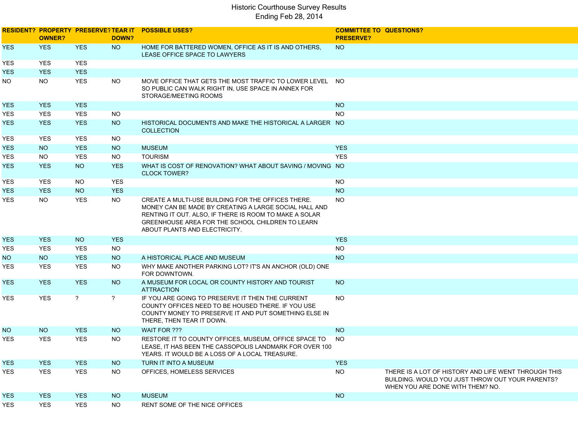|            | <b>OWNER?</b>   |                | DOWN?           | <b>RESIDENT? PROPERTY PRESERVE? TEAR IT POSSIBLE USES?</b>                                                                                                                                                                                                 | <b>COMMITTEE TO QUESTIONS?</b><br><b>PRESERVE?</b> |                                                                                                                                              |
|------------|-----------------|----------------|-----------------|------------------------------------------------------------------------------------------------------------------------------------------------------------------------------------------------------------------------------------------------------------|----------------------------------------------------|----------------------------------------------------------------------------------------------------------------------------------------------|
| YES.       | <b>YES</b>      | <b>YES</b>     | <b>NO</b>       | HOME FOR BATTERED WOMEN, OFFICE AS IT IS AND OTHERS,<br>LEASE OFFICE SPACE TO LAWYERS                                                                                                                                                                      | NO <sub>1</sub>                                    |                                                                                                                                              |
| YES        | <b>YES</b>      | <b>YES</b>     |                 |                                                                                                                                                                                                                                                            |                                                    |                                                                                                                                              |
| YES.       | <b>YES</b>      | <b>YES</b>     |                 |                                                                                                                                                                                                                                                            |                                                    |                                                                                                                                              |
| NO.        | <b>NO</b>       | <b>YES</b>     | <b>NO</b>       | MOVE OFFICE THAT GETS THE MOST TRAFFIC TO LOWER LEVEL NO<br>SO PUBLIC CAN WALK RIGHT IN, USE SPACE IN ANNEX FOR<br>STORAGE/MEETING ROOMS                                                                                                                   |                                                    |                                                                                                                                              |
| <b>YES</b> | <b>YES</b>      | <b>YES</b>     |                 |                                                                                                                                                                                                                                                            | <b>NO</b>                                          |                                                                                                                                              |
| YES        | <b>YES</b>      | <b>YES</b>     | <b>NO</b>       |                                                                                                                                                                                                                                                            | <b>NO</b>                                          |                                                                                                                                              |
| YES.       | <b>YES</b>      | <b>YES</b>     | NO <sub>1</sub> | HISTORICAL DOCUMENTS AND MAKE THE HISTORICAL A LARGER NO<br><b>COLLECTION</b>                                                                                                                                                                              |                                                    |                                                                                                                                              |
| YES        | <b>YES</b>      | <b>YES</b>     | <b>NO</b>       |                                                                                                                                                                                                                                                            |                                                    |                                                                                                                                              |
| <b>YES</b> | <b>NO</b>       | <b>YES</b>     | <b>NO</b>       | <b>MUSEUM</b>                                                                                                                                                                                                                                              | <b>YES</b>                                         |                                                                                                                                              |
| YES        | <b>NO</b>       | <b>YES</b>     | <b>NO</b>       | <b>TOURISM</b>                                                                                                                                                                                                                                             | <b>YES</b>                                         |                                                                                                                                              |
| <b>YES</b> | <b>YES</b>      | <b>NO</b>      | <b>YES</b>      | WHAT IS COST OF RENOVATION? WHAT ABOUT SAVING / MOVING NO<br><b>CLOCK TOWER?</b>                                                                                                                                                                           |                                                    |                                                                                                                                              |
| YES        | <b>YES</b>      | NO.            | <b>YES</b>      |                                                                                                                                                                                                                                                            | <b>NO</b>                                          |                                                                                                                                              |
| YES.       | <b>YES</b>      | <b>NO</b>      | <b>YES</b>      |                                                                                                                                                                                                                                                            | <b>NO</b>                                          |                                                                                                                                              |
| YES.       | <b>NO</b>       | <b>YES</b>     | <b>NO</b>       | CREATE A MULTI-USE BUILDING FOR THE OFFICES THERE.<br>MONEY CAN BE MADE BY CREATING A LARGE SOCIAL HALL AND<br>RENTING IT OUT. ALSO, IF THERE IS ROOM TO MAKE A SOLAR<br>GREENHOUSE AREA FOR THE SCHOOL CHILDREN TO LEARN<br>ABOUT PLANTS AND ELECTRICITY. | <b>NO</b>                                          |                                                                                                                                              |
| <b>YES</b> | <b>YES</b>      | <b>NO</b>      | <b>YES</b>      |                                                                                                                                                                                                                                                            | <b>YES</b>                                         |                                                                                                                                              |
| YES        | <b>YES</b>      | <b>YES</b>     | <b>NO</b>       |                                                                                                                                                                                                                                                            | <b>NO</b>                                          |                                                                                                                                              |
| NO.        | <b>NO</b>       | <b>YES</b>     | <b>NO</b>       | A HISTORICAL PLACE AND MUSEUM                                                                                                                                                                                                                              | <b>NO</b>                                          |                                                                                                                                              |
| YES        | <b>YES</b>      | <b>YES</b>     | <b>NO</b>       | WHY MAKE ANOTHER PARKING LOT? IT'S AN ANCHOR (OLD) ONE<br>FOR DOWNTOWN.                                                                                                                                                                                    |                                                    |                                                                                                                                              |
| YES.       | <b>YES</b>      | <b>YES</b>     | NO <sub>1</sub> | A MUSEUM FOR LOCAL OR COUNTY HISTORY AND TOURIST<br><b>ATTRACTION</b>                                                                                                                                                                                      | <b>NO</b>                                          |                                                                                                                                              |
| YES.       | <b>YES</b>      | $\overline{?}$ | $\overline{?}$  | IF YOU ARE GOING TO PRESERVE IT THEN THE CURRENT<br>COUNTY OFFICES NEED TO BE HOUSED THERE. IF YOU USE<br>COUNTY MONEY TO PRESERVE IT AND PUT SOMETHING ELSE IN<br>THERE, THEN TEAR IT DOWN.                                                               | <b>NO</b>                                          |                                                                                                                                              |
| NO.        | NO <sub>1</sub> | <b>YES</b>     | <b>NO</b>       | WAIT FOR ???                                                                                                                                                                                                                                               | <b>NO</b>                                          |                                                                                                                                              |
| YES        | <b>YES</b>      | <b>YES</b>     | NO.             | RESTORE IT TO COUNTY OFFICES, MUSEUM, OFFICE SPACE TO<br>LEASE, IT HAS BEEN THE CASSOPOLIS LANDMARK FOR OVER 100<br>YEARS. IT WOULD BE A LOSS OF A LOCAL TREASURE.                                                                                         | <b>NO</b>                                          |                                                                                                                                              |
| <b>YES</b> | <b>YES</b>      | <b>YES</b>     | <b>NO</b>       | TURN IT INTO A MUSEUM                                                                                                                                                                                                                                      | <b>YES</b>                                         |                                                                                                                                              |
| YES        | <b>YES</b>      | <b>YES</b>     | <b>NO</b>       | OFFICES, HOMELESS SERVICES                                                                                                                                                                                                                                 | <b>NO</b>                                          | THERE IS A LOT OF HISTORY AND LIFE WENT THROUGH THIS<br>BUILDING. WOULD YOU JUST THROW OUT YOUR PARENTS?<br>WHEN YOU ARE DONE WITH THEM? NO. |
| <b>YES</b> | <b>YES</b>      | <b>YES</b>     | <b>NO</b>       | <b>MUSEUM</b>                                                                                                                                                                                                                                              | <b>NO</b>                                          |                                                                                                                                              |
| <b>YES</b> | <b>YES</b>      | YES            | <b>NO</b>       | RENT SOME OF THE NICE OFFICES                                                                                                                                                                                                                              |                                                    |                                                                                                                                              |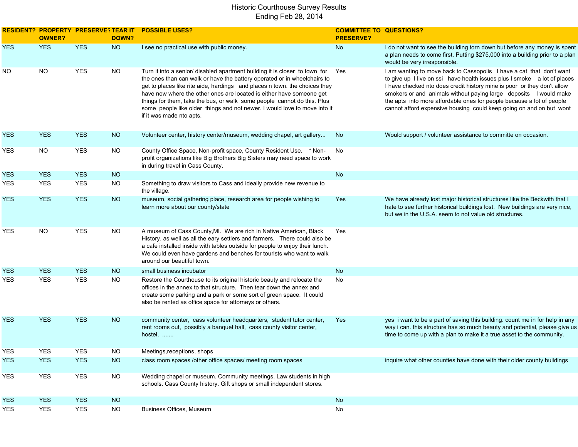|            | <b>OWNER?</b> | <b>RESIDENT? PROPERTY PRESERVE? TEAR IT</b> | DOWN?     | <b>POSSIBLE USES?</b>                                                                                                                                                                                                                                                                                                                                                                                                                                                                             | <b>COMMITTEE TO QUESTIONS?</b><br><b>PRESERVE?</b> |                                                                                                                                                                                                                                                                                                                                                                                                                                                  |
|------------|---------------|---------------------------------------------|-----------|---------------------------------------------------------------------------------------------------------------------------------------------------------------------------------------------------------------------------------------------------------------------------------------------------------------------------------------------------------------------------------------------------------------------------------------------------------------------------------------------------|----------------------------------------------------|--------------------------------------------------------------------------------------------------------------------------------------------------------------------------------------------------------------------------------------------------------------------------------------------------------------------------------------------------------------------------------------------------------------------------------------------------|
| <b>YES</b> | <b>YES</b>    | <b>YES</b>                                  | <b>NO</b> | I see no practical use with public money.                                                                                                                                                                                                                                                                                                                                                                                                                                                         | No                                                 | I do not want to see the building torn down but before any money is spent<br>a plan needs to come first. Putting \$275,000 into a building prior to a plan<br>would be very irresponsible.                                                                                                                                                                                                                                                       |
| NO.        | <b>NO</b>     | <b>YES</b>                                  | <b>NO</b> | Turn it into a senior/ disabled apartment building it is closer to town for<br>the ones than can walk or have the battery operated or in wheelchairs to<br>get to places like rite aide, hardings and places n town. the choices they<br>have now where the other ones are located is either have someone get<br>things for them, take the bus, or walk some people cannot do this. Plus<br>some people like older things and not newer. I would love to move into it<br>if it was made nto apts. | Yes                                                | I am wanting to move back to Cassopolis I have a cat that don't want<br>to give up I live on ssi have health issues plus I smoke a lot of places<br>I have checked nto does credit history mine is poor or they don't allow<br>smokers or and animals without paying large deposits I would make<br>the apts into more affordable ones for people because a lot of people<br>cannot afford expensive housing could keep going on and on but wont |
| YES        | <b>YES</b>    | <b>YES</b>                                  | <b>NO</b> | Volunteer center, history center/museum, wedding chapel, art gallery                                                                                                                                                                                                                                                                                                                                                                                                                              | No.                                                | Would support / volunteer assistance to committe on occasion.                                                                                                                                                                                                                                                                                                                                                                                    |
| YES        | <b>NO</b>     | <b>YES</b>                                  | <b>NO</b> | County Office Space, Non-profit space, County Resident Use. * Non-<br>profit organizations like Big Brothers Big Sisters may need space to work<br>in during travel in Cass County.                                                                                                                                                                                                                                                                                                               | No                                                 |                                                                                                                                                                                                                                                                                                                                                                                                                                                  |
| <b>YES</b> | <b>YES</b>    | <b>YES</b>                                  | <b>NO</b> |                                                                                                                                                                                                                                                                                                                                                                                                                                                                                                   | No                                                 |                                                                                                                                                                                                                                                                                                                                                                                                                                                  |
| YES        | <b>YES</b>    | <b>YES</b>                                  | <b>NO</b> | Something to draw visitors to Cass and ideally provide new revenue to<br>the village.                                                                                                                                                                                                                                                                                                                                                                                                             |                                                    |                                                                                                                                                                                                                                                                                                                                                                                                                                                  |
| <b>YES</b> | <b>YES</b>    | <b>YES</b>                                  | <b>NO</b> | museum, social gathering place, research area for people wishing to<br>learn more about our county/state                                                                                                                                                                                                                                                                                                                                                                                          | Yes                                                | We have already lost major historical structures like the Beckwith that I<br>hate to see further historical buildings lost. New buildings are very nice,<br>but we in the U.S.A. seem to not value old structures.                                                                                                                                                                                                                               |
| YES        | <b>NO</b>     | <b>YES</b>                                  | <b>NO</b> | A museum of Cass County, MI. We are rich in Native American, Black<br>History, as well as all the eary settlers and farmers. There could also be<br>a cafe installed inside with tables outside for people to enjoy their lunch.<br>We could even have gardens and benches for tourists who want to walk<br>around our beautiful town.                                                                                                                                                            | Yes                                                |                                                                                                                                                                                                                                                                                                                                                                                                                                                  |
| <b>YES</b> | <b>YES</b>    | <b>YES</b>                                  | <b>NO</b> | small business incubator                                                                                                                                                                                                                                                                                                                                                                                                                                                                          | No                                                 |                                                                                                                                                                                                                                                                                                                                                                                                                                                  |
| YES        | <b>YES</b>    | <b>YES</b>                                  | <b>NO</b> | Restore the Courthouse to its original historic beauty and relocate the<br>offices in the annex to that structure. Then tear down the annex and<br>create some parking and a park or some sort of green space. It could<br>also be rented as office space for attorneys or others.                                                                                                                                                                                                                | No                                                 |                                                                                                                                                                                                                                                                                                                                                                                                                                                  |
| YES.       | <b>YES</b>    | <b>YES</b>                                  | <b>NO</b> | community center, cass volunteer headquarters, student tutor center,<br>rent rooms out, possibly a banquet hall, cass county visitor center,<br>hostel,                                                                                                                                                                                                                                                                                                                                           | Yes                                                | yes i want to be a part of saving this building. count me in for help in any<br>way i can. this structure has so much beauty and potential, please give us<br>time to come up with a plan to make it a true asset to the community.                                                                                                                                                                                                              |
| YES        | <b>YES</b>    | <b>YES</b>                                  | <b>NO</b> | Meetings, receptions, shops                                                                                                                                                                                                                                                                                                                                                                                                                                                                       |                                                    |                                                                                                                                                                                                                                                                                                                                                                                                                                                  |
| <b>YES</b> | <b>YES</b>    | <b>YES</b>                                  | <b>NO</b> | class room spaces /other office spaces/ meeting room spaces                                                                                                                                                                                                                                                                                                                                                                                                                                       |                                                    | inquire what other counties have done with their older county buildings                                                                                                                                                                                                                                                                                                                                                                          |
| YES        | <b>YES</b>    | <b>YES</b>                                  | NO        | Wedding chapel or museum. Community meetings. Law students in high<br>schools. Cass County history. Gift shops or small independent stores.                                                                                                                                                                                                                                                                                                                                                       |                                                    |                                                                                                                                                                                                                                                                                                                                                                                                                                                  |
| <b>YES</b> | <b>YES</b>    | <b>YES</b>                                  | <b>NO</b> |                                                                                                                                                                                                                                                                                                                                                                                                                                                                                                   | No                                                 |                                                                                                                                                                                                                                                                                                                                                                                                                                                  |
| YES        | <b>YES</b>    | <b>YES</b>                                  | <b>NO</b> | Business Offices, Museum                                                                                                                                                                                                                                                                                                                                                                                                                                                                          | No                                                 |                                                                                                                                                                                                                                                                                                                                                                                                                                                  |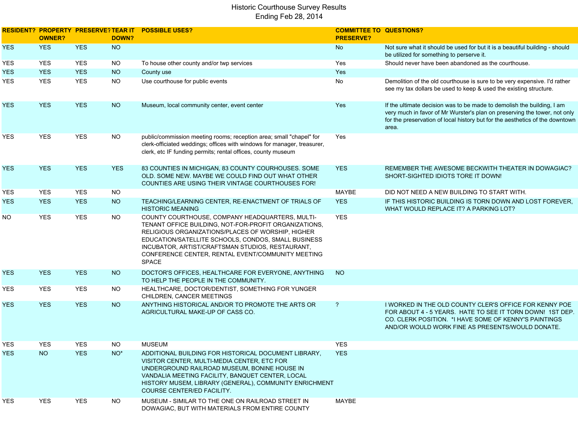|            | <b>OWNER?</b> |            | DOWN?      | RESIDENT? PROPERTY PRESERVE? TEAR IT POSSIBLE USES?                                                                                                                                                                                                                                                                                           | <b>COMMITTEE TO QUESTIONS?</b><br><b>PRESERVE?</b> |                                                                                                                                                                                                                                              |
|------------|---------------|------------|------------|-----------------------------------------------------------------------------------------------------------------------------------------------------------------------------------------------------------------------------------------------------------------------------------------------------------------------------------------------|----------------------------------------------------|----------------------------------------------------------------------------------------------------------------------------------------------------------------------------------------------------------------------------------------------|
| <b>YES</b> | <b>YES</b>    | <b>YES</b> | <b>NO</b>  |                                                                                                                                                                                                                                                                                                                                               | No                                                 | Not sure what it should be used for but it is a beautiful building - should<br>be utilized for something to perserve it.                                                                                                                     |
| YES        | <b>YES</b>    | <b>YES</b> | <b>NO</b>  | To house other county and/or twp services                                                                                                                                                                                                                                                                                                     | Yes                                                | Should never have been abandoned as the courthouse.                                                                                                                                                                                          |
| <b>YES</b> | <b>YES</b>    | <b>YES</b> | <b>NO</b>  | County use                                                                                                                                                                                                                                                                                                                                    | Yes                                                |                                                                                                                                                                                                                                              |
| YES        | <b>YES</b>    | <b>YES</b> | <b>NO</b>  | Use courthouse for public events                                                                                                                                                                                                                                                                                                              | No                                                 | Demolition of the old courthouse is sure to be very expensive. I'd rather<br>see my tax dollars be used to keep & used the existing structure.                                                                                               |
| <b>YES</b> | <b>YES</b>    | <b>YES</b> | <b>NO</b>  | Museum, local community center, event center                                                                                                                                                                                                                                                                                                  | Yes                                                | If the ultimate decision was to be made to demolish the building, I am<br>very much in favor of Mr Wurster's plan on preserving the tower, not only<br>for the preservation of local history but for the aesthetics of the downtown<br>area. |
| YES        | <b>YES</b>    | <b>YES</b> | <b>NO</b>  | public/commission meeting rooms; reception area; small "chapel" for<br>clerk-officiated weddings; offices with windows for manager, treasurer,<br>clerk, etc IF funding permits; rental offices, county museum                                                                                                                                | Yes                                                |                                                                                                                                                                                                                                              |
| <b>YES</b> | <b>YES</b>    | <b>YES</b> | <b>YES</b> | 83 COUNTIES IN MICHIGAN, 83 COUNTY COURHOUSES. SOME<br>OLD. SOME NEW. MAYBE WE COULD FIND OUT WHAT OTHER<br>COUNTIES ARE USING THEIR VINTAGE COURTHOUSES FOR!                                                                                                                                                                                 | <b>YES</b>                                         | REMEMBER THE AWESOME BECKWITH THEATER IN DOWAGIAC?<br>SHORT-SIGHTED IDIOTS TORE IT DOWN!                                                                                                                                                     |
| YES        | <b>YES</b>    | <b>YES</b> | <b>NO</b>  |                                                                                                                                                                                                                                                                                                                                               | MAYBE                                              | DID NOT NEED A NEW BUILDING TO START WITH.                                                                                                                                                                                                   |
| YES.       | <b>YES</b>    | <b>YES</b> | <b>NO</b>  | TEACHING/LEARNING CENTER, RE-ENACTMENT OF TRIALS OF<br><b>HISTORIC MEANING</b>                                                                                                                                                                                                                                                                | <b>YES</b>                                         | IF THIS HISTORIC BUILDING IS TORN DOWN AND LOST FOREVER.<br>WHAT WOULD REPLACE IT? A PARKING LOT?                                                                                                                                            |
| NO.        | YES           | <b>YES</b> | <b>NO</b>  | COUNTY COURTHOUSE, COMPANY HEADQUARTERS, MULTI-<br>TENANT OFFICE BUILDING, NOT-FOR-PROFIT ORGANIZATIONS,<br>RELIGIOUS ORGANIZATIONS/PLACES OF WORSHIP, HIGHER<br>EDUCATION/SATELLITE SCHOOLS, CONDOS, SMALL BUSINESS<br>INCUBATOR, ARTIST/CRAFTSMAN STUDIOS, RESTAURANT,<br>CONFERENCE CENTER, RENTAL EVENT/COMMUNITY MEETING<br><b>SPACE</b> | YES                                                |                                                                                                                                                                                                                                              |
| <b>YES</b> | <b>YES</b>    | <b>YES</b> | <b>NO</b>  | DOCTOR'S OFFICES, HEALTHCARE FOR EVERYONE, ANYTHING<br>TO HELP THE PEOPLE IN THE COMMUNITY.                                                                                                                                                                                                                                                   | <b>NO</b>                                          |                                                                                                                                                                                                                                              |
| YES        | <b>YES</b>    | <b>YES</b> | <b>NO</b>  | HEALTHCARE, DOCTOR/DENTIST, SOMETHING FOR YUNGER<br>CHILDREN, CANCER MEETINGS                                                                                                                                                                                                                                                                 |                                                    |                                                                                                                                                                                                                                              |
| <b>YES</b> | <b>YES</b>    | <b>YES</b> | <b>NO</b>  | ANYTHING HISTORICAL AND/OR TO PROMOTE THE ARTS OR<br>AGRICULTURAL MAKE-UP OF CASS CO.                                                                                                                                                                                                                                                         | $\overline{?}$                                     | I WORKED IN THE OLD COUNTY CLER'S OFFICE FOR KENNY POE<br>FOR ABOUT 4 - 5 YEARS. HATE TO SEE IT TORN DOWN! 1ST DEP.<br>CO. CLERK POSITION. * I HAVE SOME OF KENNY'S PAINTINGS<br>AND/OR WOULD WORK FINE AS PRESENTS/WOULD DONATE.            |
| YES        | <b>YES</b>    | <b>YES</b> | NO.        | <b>MUSEUM</b>                                                                                                                                                                                                                                                                                                                                 | <b>YES</b>                                         |                                                                                                                                                                                                                                              |
| <b>YES</b> | <b>NO</b>     | <b>YES</b> | $NO^*$     | ADDITIONAL BUILDING FOR HISTORICAL DOCUMENT LIBRARY,<br>VISITOR CENTER, MULTI-MEDIA CENTER, ETC FOR<br>UNDERGROUND RAILROAD MUSEUM, BONINE HOUSE IN<br>VANDALIA MEETING FACILITY, BANQUET CENTER, LOCAL<br>HISTORY MUSEM, LIBRARY (GENERAL), COMMUNITY ENRICHMENT<br>COURSE CENTER/ED FACILITY.                                               | <b>YES</b>                                         |                                                                                                                                                                                                                                              |
| YES        | YES           | <b>YES</b> | <b>NO</b>  | MUSEUM - SIMILAR TO THE ONE ON RAILROAD STREET IN<br>DOWAGIAC, BUT WITH MATERIALS FROM ENTIRE COUNTY                                                                                                                                                                                                                                          | MAYBE                                              |                                                                                                                                                                                                                                              |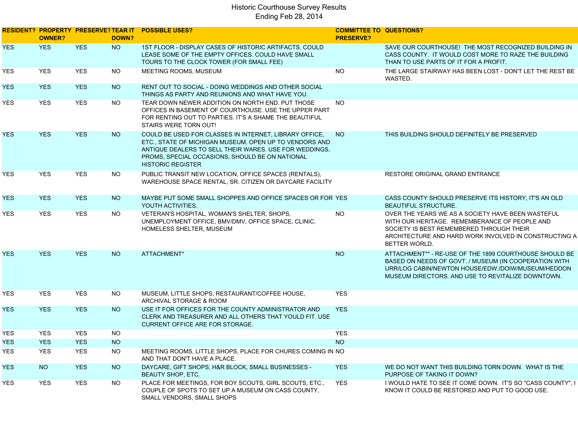|            | <b>OWNER?</b> |            | DOWN?     | RESIDENT? PROPERTY PRESERVE? TEAR IT POSSIBLE USES?                                                                                                                                                                                                       | <b>COMMITTEE TO QUESTIONS?</b><br><b>PRESERVE?</b> |                                                                                                                                                                                                                                 |
|------------|---------------|------------|-----------|-----------------------------------------------------------------------------------------------------------------------------------------------------------------------------------------------------------------------------------------------------------|----------------------------------------------------|---------------------------------------------------------------------------------------------------------------------------------------------------------------------------------------------------------------------------------|
| <b>YES</b> | <b>YES</b>    | <b>YES</b> | <b>NO</b> | 1ST FLOOR - DISPLAY CASES OF HISTORIC ARTIFACTS, COULD<br>LEASE SOME OF THE EMPTY OFFICES. COULD HAVE SMALL<br>TOURS TO THE CLOCK TOWER (FOR SMALL FEE)                                                                                                   |                                                    | SAVE OUR COURTHOUSE! THE MOST RECOGNIZED BUILDING IN<br>CASS COUNTY. IT WOULD COST MORE TO RAZE THE BUILDING<br>THAN TO USE PARTS OF IT FOR A PROFIT.                                                                           |
| YES        | <b>YES</b>    | <b>YES</b> | <b>NO</b> | MEETING ROOMS, MUSEUM                                                                                                                                                                                                                                     | <b>NO</b>                                          | THE LARGE STAIRWAY HAS BEEN LOST - DON'T LET THE REST BE<br>WASTED.                                                                                                                                                             |
| YES.       | <b>YES</b>    | <b>YES</b> | <b>NO</b> | RENT OUT TO SOCIAL - DOING WEDDINGS AND OTHER SOCIAL<br>THINGS AS PARTY AND REUNIONS AND WHAT HAVE YOU.                                                                                                                                                   |                                                    |                                                                                                                                                                                                                                 |
| YES        | <b>YES</b>    | <b>YES</b> | <b>NO</b> | TEAR DOWN NEWER ADDITION ON NORTH END. PUT THOSE<br>OFFICES IN BASEMENT OF COURTHOUSE. USE THE UPPER PART<br>FOR RENTING OUT TO PARTIES. IT'S A SHAME THE BEAUTIFUL<br>STAIRS WERE TORN OUT!                                                              | <b>NO</b>                                          |                                                                                                                                                                                                                                 |
| <b>YES</b> | <b>YES</b>    | <b>YES</b> | <b>NO</b> | COULD BE USED FOR CLASSES IN INTERNET, LIBRARY OFFICE,<br>ETC., STATE OF MICHIGAN MUSEUM, OPEN UP TO VENDORS AND<br>ANTIQUE DEALERS TO SELL THEIR WARES. USE FOR WEDDINGS,<br>PROMS, SPECIAL OCCASIONS, SHOULD BE ON NATIONAL<br><b>HISTORIC REGISTER</b> | <b>NO</b>                                          | THIS BUILDING SHOULD DEFINITELY BE PRESERVED                                                                                                                                                                                    |
| YES        | <b>YES</b>    | <b>YES</b> | <b>NO</b> | PUBLIC TRANSIT NEW LOCATION, OFFICE SPACES (RENTALS),<br>WAREHOUSE SPACE RENTAL, SR. CITIZEN OR DAYCARE FACILITY                                                                                                                                          |                                                    | <b>RESTORE ORIGINAL GRAND ENTRANCE</b>                                                                                                                                                                                          |
| <b>YES</b> | <b>YES</b>    | <b>YES</b> | <b>NO</b> | MAYBE PUT SOME SMALL SHOPPES AND OFFICE SPACES OR FOR YES<br>YOUTH ACTIVITIES.                                                                                                                                                                            |                                                    | CASS COUNTY SHOULD PRESERVE ITS HISTORY, IT'S AN OLD<br><b>BEAUTIFUL STRUCTURE.</b>                                                                                                                                             |
| YES.       | <b>YES</b>    | <b>YES</b> | <b>NO</b> | VETERAN'S HOSPITAL, WOMAN'S SHELTER, SHOPS,<br>UNEMPLOYMENT OFFICE, BMV/DMV, OFFICE SPACE, CLINIC,<br>HOMELESS SHELTER, MUSEUM                                                                                                                            | <b>NO</b>                                          | OVER THE YEARS WE AS A SOCIETY HAVE BEEN WASTEFUL<br>WITH OUR HERITAGE. REMEMBERANCE OF PEOPLE AND<br>SOCIETY IS BEST REMEMBERED THROUGH THEIR<br>ARCHITECTURE AND HARD WORK INVOLVED IN CONSTRUCTING A<br><b>BETTER WORLD.</b> |
| <b>YES</b> | <b>YES</b>    | <b>YES</b> | <b>NO</b> | ATTACHMENT*                                                                                                                                                                                                                                               | <b>NO</b>                                          | ATTACHMENT** - RE-USE OF THE 1899 COURTHOUSE SHOULD BE<br>BASED ON NEEDS OF GOVT. / MUSEUM (IN COOPERATION WITH<br>URR/LOG CABIN/NEWTON HOUSE/EDW./DOIW/MUSEUM/HEDDON<br>MUSEUM DIRECTORS. AND USE TO REVITALIZE DOWNTOWN.      |
| YES        | <b>YES</b>    | <b>YES</b> | <b>NO</b> | MUSEUM, LITTLE SHOPS, RESTAURANT/COFFEE HOUSE,<br>ARCHIVAL STORAGE & ROOM                                                                                                                                                                                 | <b>YES</b>                                         |                                                                                                                                                                                                                                 |
| <b>YES</b> | <b>YES</b>    | <b>YES</b> | <b>NO</b> | USE IT FOR OFFICES FOR THE COUNTY ADMINISTRATOR AND<br>CLERK AND TREASURER AND ALL OTHERS THAT YOULD FIT. USE<br><b>CURRENT OFFICE ARE FOR STORAGE.</b>                                                                                                   | <b>YES</b>                                         |                                                                                                                                                                                                                                 |
| YES        | <b>YES</b>    | <b>YES</b> | <b>NO</b> |                                                                                                                                                                                                                                                           | <b>YES</b>                                         |                                                                                                                                                                                                                                 |
| YES.       | <b>YES</b>    | <b>YES</b> | <b>NO</b> |                                                                                                                                                                                                                                                           | <b>NO</b>                                          |                                                                                                                                                                                                                                 |
| <b>YES</b> | <b>YES</b>    | <b>YES</b> | <b>NO</b> | MEETING ROOMS, LITTLE SHOPS, PLACE FOR CHURES COMING IN NO<br>AND THAT DON'T HAVE A PLACE.                                                                                                                                                                |                                                    |                                                                                                                                                                                                                                 |
| <b>YES</b> | <b>NO</b>     | <b>YES</b> | <b>NO</b> | DAYCARE, GIFT SHOPS, H&R BLOCK, SMALL BUSINESSES -<br><b>BEAUTY SHOP, ETC.</b>                                                                                                                                                                            | <b>YES</b>                                         | WE DO NOT WANT THIS BUILDING TORN DOWN. WHAT IS THE<br>PURPOSE OF TAKING IT DOWN?                                                                                                                                               |
| <b>YES</b> | <b>YES</b>    | <b>YES</b> | <b>NO</b> | PLACE FOR MEETINGS, FOR BOY SCOUTS, GIRL SCOUTS, ETC.,<br>COUPLE OF SPOTS TO SET UP A MUSEUM ON CASS COUNTY,<br>SMALL VENDORS, SMALL SHOPS                                                                                                                | <b>YES</b>                                         | I WOULD HATE TO SEE IT COME DOWN. IT'S SO "CASS COUNTY", I<br>KNOW IT COULD BE RESTORED AND PUT TO GOOD USE.                                                                                                                    |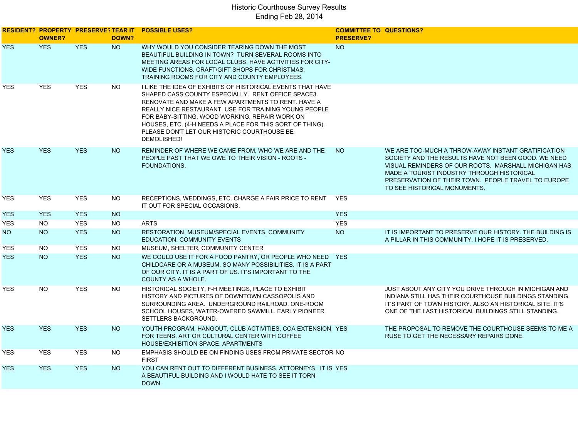|            | <b>OWNER?</b> |            | DOWN?     | RESIDENT? PROPERTY PRESERVE? TEAR IT POSSIBLE USES?                                                                                                                                                                                                                                                                                                                                                         | <b>COMMITTEE TO QUESTIONS?</b><br><b>PRESERVE?</b> |                                                                                                                                                                                                                                                                                                        |
|------------|---------------|------------|-----------|-------------------------------------------------------------------------------------------------------------------------------------------------------------------------------------------------------------------------------------------------------------------------------------------------------------------------------------------------------------------------------------------------------------|----------------------------------------------------|--------------------------------------------------------------------------------------------------------------------------------------------------------------------------------------------------------------------------------------------------------------------------------------------------------|
| <b>YES</b> | <b>YES</b>    | <b>YES</b> | <b>NO</b> | WHY WOULD YOU CONSIDER TEARING DOWN THE MOST<br>BEAUTIFUL BUILDING IN TOWN? TURN SEVERAL ROOMS INTO<br>MEETING AREAS FOR LOCAL CLUBS. HAVE ACTIVITIES FOR CITY-<br>WIDE FUNCTIONS. CRAFT/GIFT SHOPS FOR CHRISTMAS.<br>TRAINING ROOMS FOR CITY AND COUNTY EMPLOYEES.                                                                                                                                         | <b>NO</b>                                          |                                                                                                                                                                                                                                                                                                        |
| <b>YES</b> | <b>YES</b>    | <b>YES</b> | <b>NO</b> | I LIKE THE IDEA OF EXHIBITS OF HISTORICAL EVENTS THAT HAVE<br>SHAPED CASS COUNTY ESPECIALLY. RENT OFFICE SPACE3.<br>RENOVATE AND MAKE A FEW APARTMENTS TO RENT. HAVE A<br>REALLY NICE RESTAURANT. USE FOR TRAINING YOUNG PEOPLE<br>FOR BABY-SITTING, WOOD WORKING, REPAIR WORK ON<br>HOUSES, ETC. (4-H NEEDS A PLACE FOR THIS SORT OF THING).<br>PLEASE DON'T LET OUR HISTORIC COURTHOUSE BE<br>DEMOLISHED! |                                                    |                                                                                                                                                                                                                                                                                                        |
| <b>YES</b> | <b>YES</b>    | <b>YES</b> | <b>NO</b> | REMINDER OF WHERE WE CAME FROM, WHO WE ARE AND THE<br>PEOPLE PAST THAT WE OWE TO THEIR VISION - ROOTS -<br>FOUNDATIONS.                                                                                                                                                                                                                                                                                     | NO                                                 | WE ARE TOO-MUCH A THROW-AWAY INSTANT GRATIFICATION<br>SOCIETY AND THE RESULTS HAVE NOT BEEN GOOD. WE NEED<br>VISUAL REMINDERS OF OUR ROOTS. MARSHALL MICHIGAN HAS<br>MADE A TOURIST INDUSTRY THROUGH HISTORICAL<br>PRESERVATION OF THEIR TOWN. PEOPLE TRAVEL TO EUROPE<br>TO SEE HISTORICAL MONUMENTS. |
| <b>YES</b> | <b>YES</b>    | <b>YES</b> | <b>NO</b> | RECEPTIONS, WEDDINGS, ETC. CHARGE A FAIR PRICE TO RENT YES<br>IT OUT FOR SPECIAL OCCASIONS.                                                                                                                                                                                                                                                                                                                 |                                                    |                                                                                                                                                                                                                                                                                                        |
| <b>YES</b> | <b>YES</b>    | <b>YES</b> | <b>NO</b> |                                                                                                                                                                                                                                                                                                                                                                                                             | <b>YES</b>                                         |                                                                                                                                                                                                                                                                                                        |
| <b>YES</b> | <b>NO</b>     | <b>YES</b> | <b>NO</b> | <b>ARTS</b>                                                                                                                                                                                                                                                                                                                                                                                                 | <b>YES</b>                                         |                                                                                                                                                                                                                                                                                                        |
| NO         | <b>NO</b>     | <b>YES</b> | <b>NO</b> | RESTORATION, MUSEUM/SPECIAL EVENTS, COMMUNITY<br>EDUCATION, COMMUNITY EVENTS                                                                                                                                                                                                                                                                                                                                | <b>NO</b>                                          | IT IS IMPORTANT TO PRESERVE OUR HISTORY. THE BUILDING IS<br>A PILLAR IN THIS COMMUNITY. I HOPE IT IS PRESERVED.                                                                                                                                                                                        |
| <b>YES</b> | <b>NO</b>     | <b>YES</b> | NO.       | MUSEUM, SHELTER, COMMUNITY CENTER                                                                                                                                                                                                                                                                                                                                                                           |                                                    |                                                                                                                                                                                                                                                                                                        |
| <b>YES</b> | <b>NO</b>     | <b>YES</b> | <b>NO</b> | WE COULD USE IT FOR A FOOD PANTRY, OR PEOPLE WHO NEED YES<br>CHILDCARE OR A MUSEUM. SO MANY POSSIBILITIES. IT IS A PART<br>OF OUR CITY. IT IS A PART OF US. IT'S IMPORTANT TO THE<br><b>COUNTY AS A WHOLE.</b>                                                                                                                                                                                              |                                                    |                                                                                                                                                                                                                                                                                                        |
| <b>YES</b> | <b>NO</b>     | <b>YES</b> | <b>NO</b> | HISTORICAL SOCIETY, F-H MEETINGS, PLACE TO EXHIBIT<br>HISTORY AND PICTURES OF DOWNTOWN CASSOPOLIS AND<br>SURROUNDING AREA. UNDERGROUND RAILROAD, ONE-ROOM<br>SCHOOL HOUSES, WATER-OWERED SAWMILL. EARLY PIONEER<br>SETTLERS BACKGROUND.                                                                                                                                                                     |                                                    | JUST ABOUT ANY CITY YOU DRIVE THROUGH IN MICHIGAN AND<br>INDIANA STILL HAS THEIR COURTHOUSE BUILDINGS STANDING.<br>IT'S PART OF TOWN HISTORY, ALSO AN HISTORICAL SITE, IT'S<br>ONE OF THE LAST HISTORICAL BUILDINGS STILL STANDING.                                                                    |
| <b>YES</b> | <b>YES</b>    | <b>YES</b> | <b>NO</b> | YOUTH PROGRAM, HANGOUT, CLUB ACTIVITIES, COA EXTENSION YES<br>FOR TEENS, ART OR CULTURAL CENTER WITH COFFEE<br>HOUSE/EXHIBITION SPACE, APARTMENTS                                                                                                                                                                                                                                                           |                                                    | THE PROPOSAL TO REMOVE THE COURTHOUSE SEEMS TO ME A<br>RUSE TO GET THE NECESSARY REPAIRS DONE.                                                                                                                                                                                                         |
| <b>YES</b> | <b>YES</b>    | <b>YES</b> | NO.       | EMPHASIS SHOULD BE ON FINDING USES FROM PRIVATE SECTOR NO<br><b>FIRST</b>                                                                                                                                                                                                                                                                                                                                   |                                                    |                                                                                                                                                                                                                                                                                                        |
| <b>YES</b> | <b>YES</b>    | <b>YES</b> | <b>NO</b> | YOU CAN RENT OUT TO DIFFERENT BUSINESS, ATTORNEYS. IT IS YES<br>A BEAUTIFUL BUILDING AND I WOULD HATE TO SEE IT TORN<br>DOWN.                                                                                                                                                                                                                                                                               |                                                    |                                                                                                                                                                                                                                                                                                        |